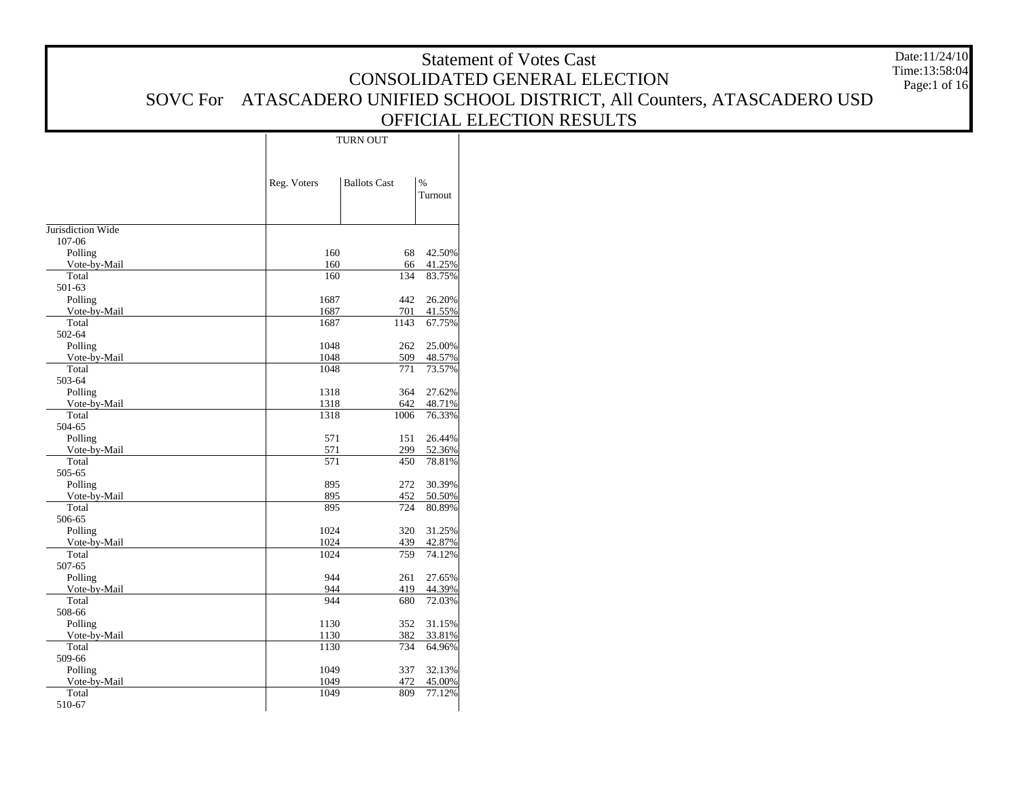|                   |             |                     |                 | <b>Statement of Votes Cast</b>                                            | Date:11/24/10<br>Time:13:58:04 |
|-------------------|-------------|---------------------|-----------------|---------------------------------------------------------------------------|--------------------------------|
|                   |             |                     |                 | CONSOLIDATED GENERAL ELECTION                                             | Page:1 of 16                   |
|                   |             |                     |                 | SOVC For ATASCADERO UNIFIED SCHOOL DISTRICT, All Counters, ATASCADERO USD |                                |
|                   |             |                     |                 | OFFICIAL ELECTION RESULTS                                                 |                                |
|                   |             | <b>TURN OUT</b>     |                 |                                                                           |                                |
|                   |             |                     |                 |                                                                           |                                |
|                   |             |                     |                 |                                                                           |                                |
|                   | Reg. Voters | <b>Ballots Cast</b> | $\%$<br>Turnout |                                                                           |                                |
|                   |             |                     |                 |                                                                           |                                |
| Jurisdiction Wide |             |                     |                 |                                                                           |                                |
| 107-06            |             |                     |                 |                                                                           |                                |
| Polling           | 160         | 68                  | 42.50%          |                                                                           |                                |
| Vote-by-Mail      | 160         | 66                  | 41.25%          |                                                                           |                                |
| Total             | 160         | 134                 | 83.75%          |                                                                           |                                |
| 501-63<br>Polling | 1687        | 442                 | 26.20%          |                                                                           |                                |
| Vote-by-Mail      | 1687        | 701                 | 41.55%          |                                                                           |                                |
| Total             | 1687        | 1143                | 67.75%          |                                                                           |                                |
| 502-64            |             |                     |                 |                                                                           |                                |
| Polling           | 1048        | 262                 | 25.00%          |                                                                           |                                |
| Vote-by-Mail      | 1048        | 509                 | 48.57%          |                                                                           |                                |
| Total             | 1048        | 771                 | 73.57%          |                                                                           |                                |
| 503-64<br>Polling | 1318        | 364                 | 27.62%          |                                                                           |                                |
| Vote-by-Mail      | 1318        | 642                 | 48.71%          |                                                                           |                                |
| Total             | 1318        | 1006                | 76.33%          |                                                                           |                                |
| 504-65            |             |                     |                 |                                                                           |                                |
| Polling           | 571         | 151                 | 26.44%          |                                                                           |                                |
| Vote-by-Mail      | 571         | 299                 | 52.36%          |                                                                           |                                |
| Total             | 571         | 450                 | 78.81%          |                                                                           |                                |
| 505-65<br>Polling | 895         | 272                 | 30.39%          |                                                                           |                                |
| Vote-by-Mail      | 895         | 452                 | 50.50%          |                                                                           |                                |
| Total             | 895         | 724                 | 80.89%          |                                                                           |                                |
| 506-65            |             |                     |                 |                                                                           |                                |
| Polling           | 1024        | 320                 | 31.25%          |                                                                           |                                |
| Vote-by-Mail      | 1024        | 439                 | 42.87%          |                                                                           |                                |
| Total<br>507-65   | 1024        | 759                 | 74.12%          |                                                                           |                                |
| Polling           | 944         | 261                 | 27.65%          |                                                                           |                                |
| Vote-by-Mail      | 944         | 419                 | 44.39%          |                                                                           |                                |
| Total             | 944         | 680                 | 72.03%          |                                                                           |                                |
| 508-66            |             |                     |                 |                                                                           |                                |
| Polling           | 1130        |                     | 352 31.15%      |                                                                           |                                |
| Vote-by-Mail      | 1130        | 382                 | 33.81%          |                                                                           |                                |
| Total<br>509-66   | 1130        | 734                 | 64.96%          |                                                                           |                                |
| Polling           | 1049        |                     | 337 32.13%      |                                                                           |                                |
| Vote-by-Mail      | 1049        | 472                 | 45.00%          |                                                                           |                                |
| Total             | 1049        | 809                 | 77.12%          |                                                                           |                                |
| 510-67            |             |                     |                 |                                                                           |                                |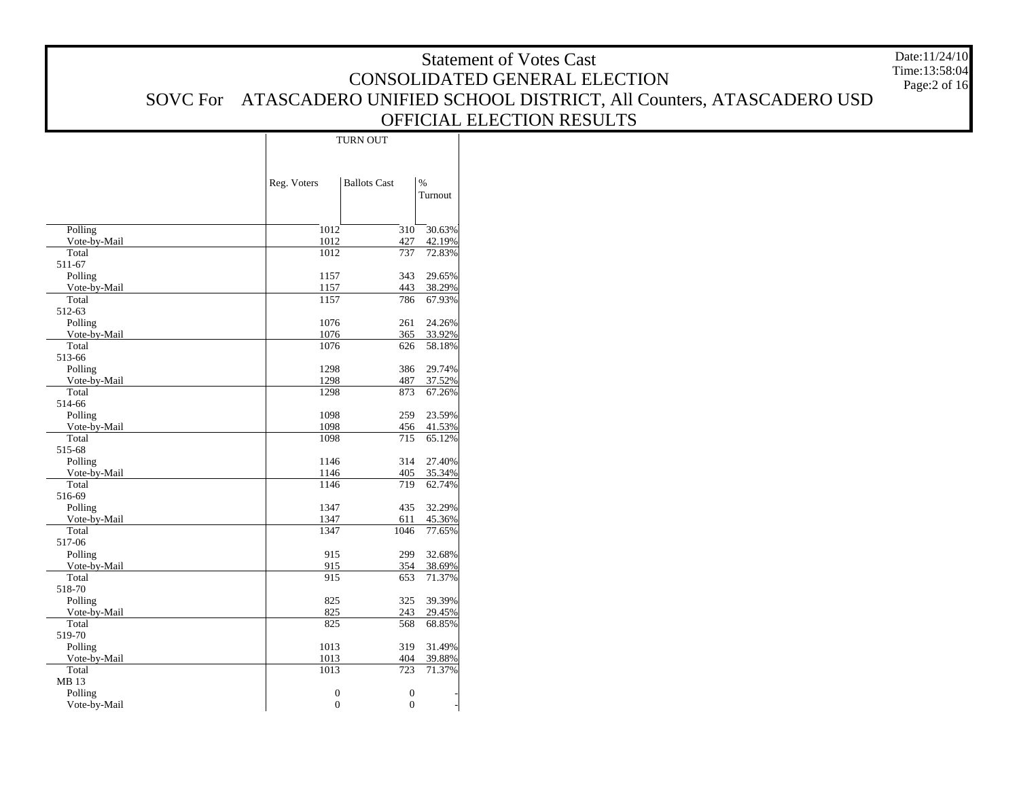|                       |              |                     |                  | <b>Statement of Votes Cast</b>                                            | Date:11/24/10 |
|-----------------------|--------------|---------------------|------------------|---------------------------------------------------------------------------|---------------|
|                       |              |                     |                  | CONSOLIDATED GENERAL ELECTION                                             | Time:13:58:04 |
|                       |              |                     |                  |                                                                           | Page:2 of 16  |
|                       |              |                     |                  | SOVC For ATASCADERO UNIFIED SCHOOL DISTRICT, All Counters, ATASCADERO USD |               |
|                       |              |                     |                  | OFFICIAL ELECTION RESULTS                                                 |               |
|                       |              | <b>TURN OUT</b>     |                  |                                                                           |               |
|                       |              |                     |                  |                                                                           |               |
|                       |              |                     |                  |                                                                           |               |
|                       | Reg. Voters  | <b>Ballots</b> Cast | $\%$             |                                                                           |               |
|                       |              |                     | Turnout          |                                                                           |               |
|                       |              |                     |                  |                                                                           |               |
| Polling               | 1012         |                     | $310 - 30.63\%$  |                                                                           |               |
| Vote-by-Mail          | 1012         | 427                 | 42.19%           |                                                                           |               |
| Total<br>511-67       | 1012         |                     | 737 72.83%       |                                                                           |               |
| Polling               | 1157         | 343                 | 29.65%           |                                                                           |               |
| Vote-by-Mail          | 1157         | 443                 | 38.29%           |                                                                           |               |
| Total                 | 1157         | 786                 | 67.93%           |                                                                           |               |
| 512-63                |              |                     |                  |                                                                           |               |
| Polling               | 1076         | 261                 | 24.26%           |                                                                           |               |
| Vote-by-Mail<br>Total | 1076<br>1076 | 365<br>626          | 33.92%<br>58.18% |                                                                           |               |
| 513-66                |              |                     |                  |                                                                           |               |
| Polling               | 1298         | 386                 | 29.74%           |                                                                           |               |
| Vote-by-Mail          | 1298         | 487                 | 37.52%           |                                                                           |               |
| Total                 | 1298         | 873                 | 67.26%           |                                                                           |               |
| 514-66<br>Polling     | 1098         | 259                 | 23.59%           |                                                                           |               |
| Vote-by-Mail          | 1098         | 456                 | 41.53%           |                                                                           |               |
| Total                 | 1098         | 715                 | 65.12%           |                                                                           |               |
| 515-68                |              |                     |                  |                                                                           |               |
| Polling               | 1146         |                     | 314 27.40%       |                                                                           |               |
| Vote-by-Mail          | 1146         |                     | 405 35.34%       |                                                                           |               |
| Total<br>516-69       | 1146         | 719                 | 62.74%           |                                                                           |               |
| Polling               | 1347         |                     | 435 32.29%       |                                                                           |               |
| Vote-by-Mail          | 1347         | 611                 | 45.36%           |                                                                           |               |
| Total                 | 1347         | 1046                | 77.65%           |                                                                           |               |
| 517-06                |              |                     |                  |                                                                           |               |
| Polling               | 915<br>915   | 299                 | 32.68%<br>38.69% |                                                                           |               |
| Vote-by-Mail<br>Total | 915          | 354<br>653          | 71.37%           |                                                                           |               |
| 518-70                |              |                     |                  |                                                                           |               |
| Polling               | 825          |                     | 325 39.39%       |                                                                           |               |
| Vote-by-Mail          | 825          | 243                 | 29.45%           |                                                                           |               |
| Total                 | 825          | 568                 | 68.85%           |                                                                           |               |
| 519-70<br>Polling     | 1013         | 319                 | 31.49%           |                                                                           |               |
| Vote-by-Mail          | 1013         | 404                 | 39.88%           |                                                                           |               |
| Total                 | 1013         | 723                 | 71.37%           |                                                                           |               |
| MB 13                 |              |                     |                  |                                                                           |               |
| Polling               | $\mathbf{0}$ | $\boldsymbol{0}$    |                  |                                                                           |               |
| Vote-by-Mail          | $\mathbf{0}$ | $\overline{0}$      |                  |                                                                           |               |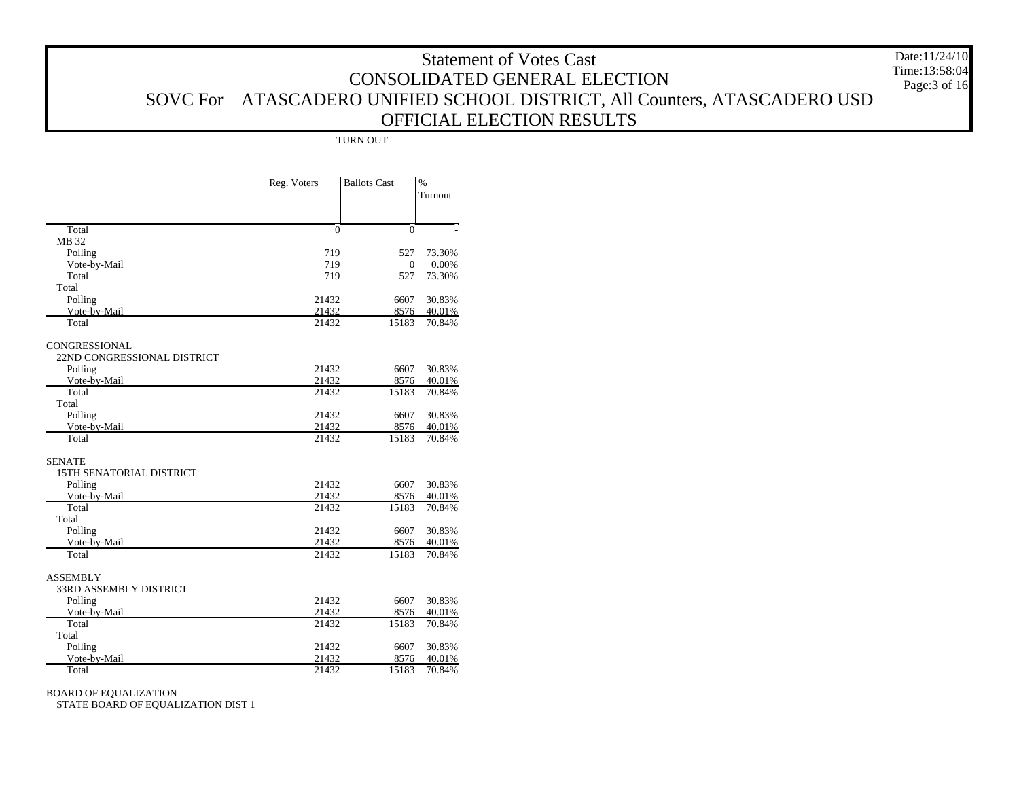| Date:11/24/10<br><b>Statement of Votes Cast</b>                    |                |                     |                  |                                                                           |                                |  |  |  |  |  |
|--------------------------------------------------------------------|----------------|---------------------|------------------|---------------------------------------------------------------------------|--------------------------------|--|--|--|--|--|
|                                                                    |                |                     |                  | CONSOLIDATED GENERAL ELECTION                                             | Time:13:58:04<br>Page: 3 of 16 |  |  |  |  |  |
|                                                                    |                |                     |                  | SOVC For ATASCADERO UNIFIED SCHOOL DISTRICT, All Counters, ATASCADERO USD |                                |  |  |  |  |  |
|                                                                    |                |                     |                  | OFFICIAL ELECTION RESULTS                                                 |                                |  |  |  |  |  |
|                                                                    |                | TURN OUT            |                  |                                                                           |                                |  |  |  |  |  |
|                                                                    |                |                     |                  |                                                                           |                                |  |  |  |  |  |
|                                                                    |                |                     |                  |                                                                           |                                |  |  |  |  |  |
|                                                                    | Reg. Voters    | <b>Ballots Cast</b> | $\%$<br>Turnout  |                                                                           |                                |  |  |  |  |  |
|                                                                    |                |                     |                  |                                                                           |                                |  |  |  |  |  |
| Total                                                              | $\mathbf{0}$   | $\mathbf{0}$        |                  |                                                                           |                                |  |  |  |  |  |
| MB 32<br>Polling                                                   | 719            | 527                 | 73.30%           |                                                                           |                                |  |  |  |  |  |
| Vote-by-Mail                                                       | 719            | $\mathbf{0}$        | 0.00%            |                                                                           |                                |  |  |  |  |  |
| Total<br>Total                                                     | 719            | 527                 | 73.30%           |                                                                           |                                |  |  |  |  |  |
| Polling                                                            | 21432          | 6607                | 30.83%           |                                                                           |                                |  |  |  |  |  |
| Vote-by-Mail<br>Total                                              | 21432<br>21432 | 8576<br>15183       | 40.01%<br>70.84% |                                                                           |                                |  |  |  |  |  |
|                                                                    |                |                     |                  |                                                                           |                                |  |  |  |  |  |
| CONGRESSIONAL<br>22ND CONGRESSIONAL DISTRICT                       |                |                     |                  |                                                                           |                                |  |  |  |  |  |
| Polling                                                            | 21432          | 6607                | 30.83%           |                                                                           |                                |  |  |  |  |  |
| Vote-by-Mail<br>Total                                              | 21432<br>21432 | 8576<br>15183       | 40.01%<br>70.84% |                                                                           |                                |  |  |  |  |  |
| Total                                                              |                |                     |                  |                                                                           |                                |  |  |  |  |  |
| Polling<br>Vote-by-Mail                                            | 21432<br>21432 | 6607<br>8576        | 30.83%<br>40.01% |                                                                           |                                |  |  |  |  |  |
| Total                                                              | 21432          | 15183               | 70.84%           |                                                                           |                                |  |  |  |  |  |
| <b>SENATE</b>                                                      |                |                     |                  |                                                                           |                                |  |  |  |  |  |
| 15TH SENATORIAL DISTRICT                                           |                |                     |                  |                                                                           |                                |  |  |  |  |  |
| Polling<br>Vote-by-Mail                                            | 21432<br>21432 | 6607<br>8576        | 30.83%<br>40.01% |                                                                           |                                |  |  |  |  |  |
| Total                                                              | 21432          | 15183               | 70.84%           |                                                                           |                                |  |  |  |  |  |
| Total<br>Polling                                                   | 21432          | 6607                | 30.83%           |                                                                           |                                |  |  |  |  |  |
| Vote-by-Mail                                                       | 21432          | 8576                | 40.01%           |                                                                           |                                |  |  |  |  |  |
| Total                                                              | 21432          | 15183               | 70.84%           |                                                                           |                                |  |  |  |  |  |
| <b>ASSEMBLY</b>                                                    |                |                     |                  |                                                                           |                                |  |  |  |  |  |
| 33RD ASSEMBLY DISTRICT<br>Polling                                  | 21432          | 6607                | 30.83%           |                                                                           |                                |  |  |  |  |  |
| Vote-by-Mail                                                       | 21432          | 8576                | 40.01%           |                                                                           |                                |  |  |  |  |  |
| Total<br>Total                                                     | 21432          | 15183               | 70.84%           |                                                                           |                                |  |  |  |  |  |
| Polling                                                            | 21432          | 6607                | 30.83%           |                                                                           |                                |  |  |  |  |  |
| Vote-by-Mail<br>Total                                              | 21432<br>21432 | 8576<br>15183       | 40.01%<br>70.84% |                                                                           |                                |  |  |  |  |  |
|                                                                    |                |                     |                  |                                                                           |                                |  |  |  |  |  |
| <b>BOARD OF EQUALIZATION</b><br>STATE BOARD OF EQUALIZATION DIST 1 |                |                     |                  |                                                                           |                                |  |  |  |  |  |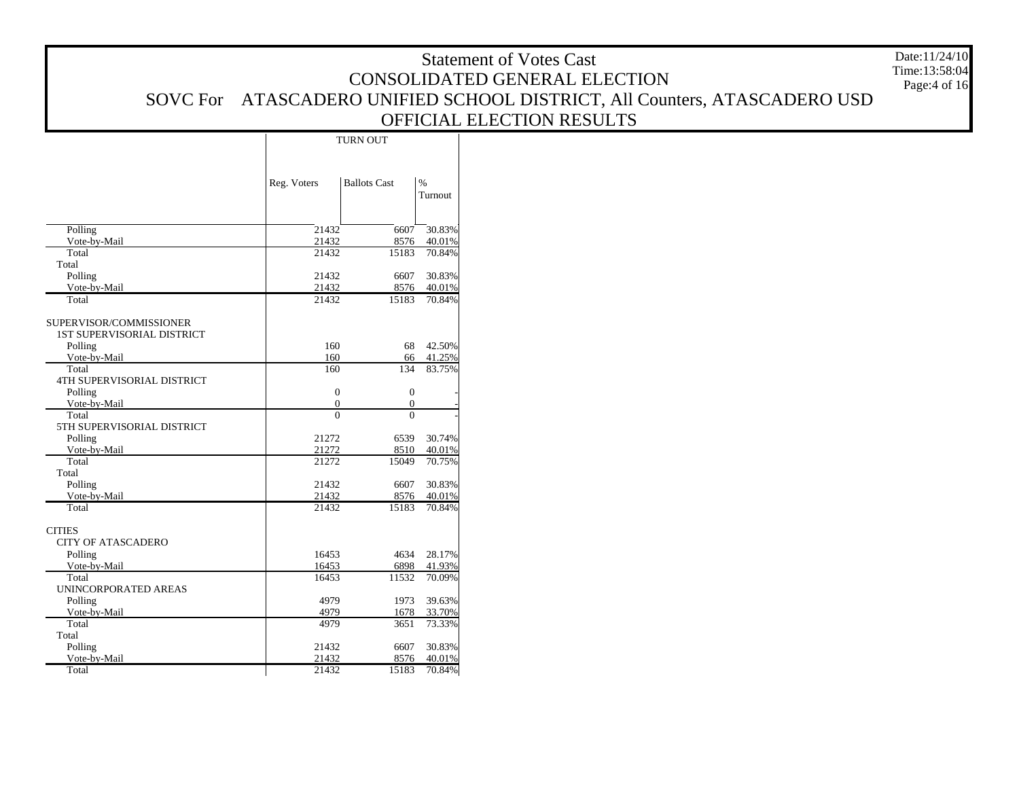|                            |                                  |                                  |                  | <b>Statement of Votes Cast</b>                                            | Date:11/24/10 |
|----------------------------|----------------------------------|----------------------------------|------------------|---------------------------------------------------------------------------|---------------|
|                            |                                  |                                  |                  | CONSOLIDATED GENERAL ELECTION                                             | Time:13:58:04 |
|                            |                                  |                                  |                  |                                                                           | Page:4 of 16  |
|                            |                                  |                                  |                  | SOVC For ATASCADERO UNIFIED SCHOOL DISTRICT, All Counters, ATASCADERO USD |               |
|                            |                                  |                                  |                  | OFFICIAL ELECTION RESULTS                                                 |               |
|                            |                                  | <b>TURN OUT</b>                  |                  |                                                                           |               |
|                            |                                  |                                  |                  |                                                                           |               |
|                            |                                  |                                  |                  |                                                                           |               |
|                            | Reg. Voters                      | <b>Ballots Cast</b>              | $\%$             |                                                                           |               |
|                            |                                  |                                  | Turnout          |                                                                           |               |
|                            |                                  |                                  |                  |                                                                           |               |
| Polling                    | 21432                            | 6607                             | 30.83%           |                                                                           |               |
| Vote-by-Mail               | 21432                            | 8576                             | 40.01%           |                                                                           |               |
| Total                      | 21432                            | 15183                            | 70.84%           |                                                                           |               |
| Total<br>Polling           | 21432                            |                                  | 6607 30.83%      |                                                                           |               |
| Vote-by-Mail               | 21432                            | 8576                             | 40.01%           |                                                                           |               |
| Total                      | 21432                            | 15183                            | 70.84%           |                                                                           |               |
| SUPERVISOR/COMMISSIONER    |                                  |                                  |                  |                                                                           |               |
| 1ST SUPERVISORIAL DISTRICT |                                  |                                  |                  |                                                                           |               |
| Polling                    | 160                              | 68                               | 42.50%           |                                                                           |               |
| Vote-by-Mail               | 160                              | 66                               | 41.25%           |                                                                           |               |
| Total                      | 160                              | 134                              | 83.75%           |                                                                           |               |
| 4TH SUPERVISORIAL DISTRICT |                                  |                                  |                  |                                                                           |               |
| Polling<br>Vote-by-Mail    | $\boldsymbol{0}$<br>$\mathbf{0}$ | $\boldsymbol{0}$<br>$\mathbf{0}$ |                  |                                                                           |               |
| Total                      | $\overline{0}$                   | $\overline{0}$                   |                  |                                                                           |               |
| 5TH SUPERVISORIAL DISTRICT |                                  |                                  |                  |                                                                           |               |
| Polling                    | 21272                            |                                  | 6539 30.74%      |                                                                           |               |
| Vote-by-Mail               | 21272                            | 8510                             | 40.01%           |                                                                           |               |
| Total                      | 21272                            | 15049                            | 70.75%           |                                                                           |               |
| Total                      |                                  |                                  |                  |                                                                           |               |
| Polling                    | 21432                            | 6607                             | 30.83%           |                                                                           |               |
| Vote-by-Mail<br>Total      | 21432<br>21432                   | 8576<br>15183                    | 40.01%<br>70.84% |                                                                           |               |
|                            |                                  |                                  |                  |                                                                           |               |
| <b>CITIES</b>              |                                  |                                  |                  |                                                                           |               |
| <b>CITY OF ATASCADERO</b>  |                                  |                                  |                  |                                                                           |               |
| Polling                    | 16453                            |                                  | 4634 28.17%      |                                                                           |               |
| Vote-by-Mail               | 16453                            | 6898                             | 41.93%           |                                                                           |               |
| Total                      | 16453                            | 11532                            | 70.09%           |                                                                           |               |
| UNINCORPORATED AREAS       |                                  |                                  |                  |                                                                           |               |
| Polling                    | 4979                             | 1973                             | 39.63%           |                                                                           |               |
| Vote-by-Mail<br>Total      | 4979<br>4979                     | 1678<br>3651                     | 33.70%<br>73.33% |                                                                           |               |
| Total                      |                                  |                                  |                  |                                                                           |               |
| Polling                    | 21432                            |                                  | 6607 30.83%      |                                                                           |               |
| Vote-by-Mail               | 21432                            | 8576                             | 40.01%           |                                                                           |               |
| Total                      | 21432                            |                                  | 15183 70.84%     |                                                                           |               |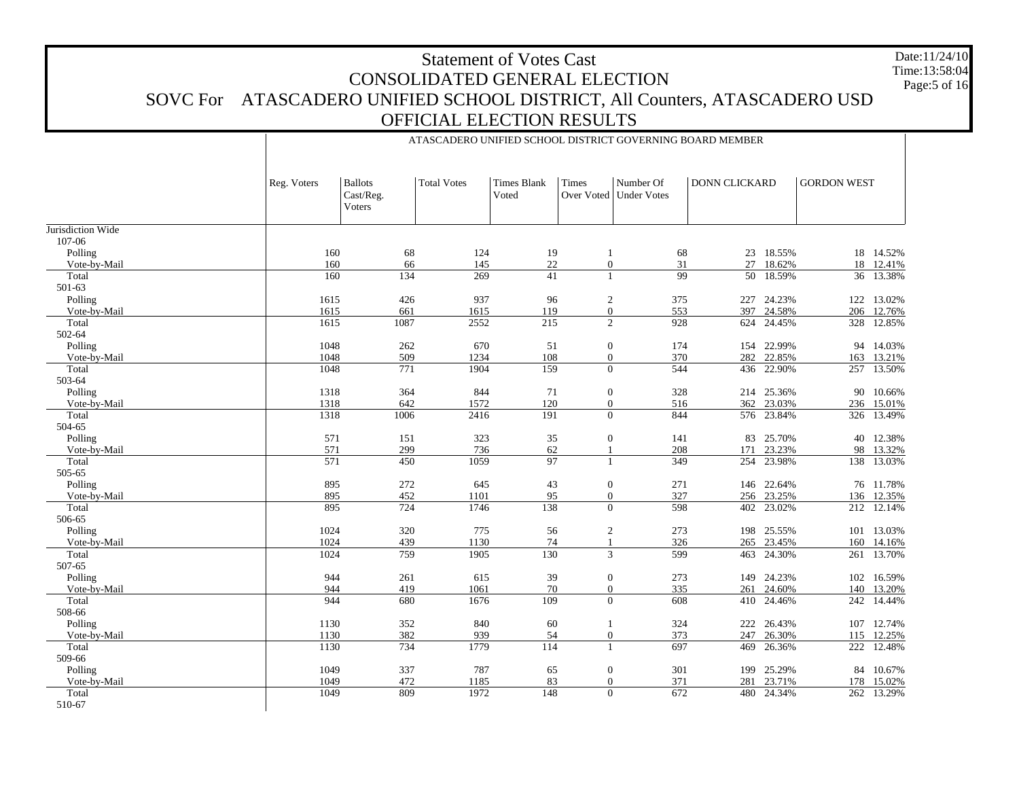#### Statement of Votes Cast CONSOLIDATED GENERAL ELECTION SOVC For ATASCADERO UNIFIED SCHOOL DISTRICT, All Counters, ATASCADERO USD OFFICIAL ELECTION RESULTS Date:11/24/10 Time:13:58:04Page:5 of 16

ATASCADERO UNIFIED SCHOOL DISTRICT GOVERNING BOARD MEMBER

|                   | Reg. Voters | <b>Ballots</b><br>Cast/Reg.<br>Voters | <b>Total Votes</b> | <b>Times Blank</b><br>Voted | Times            | Number Of<br>Over Voted   Under Votes | <b>DONN CLICKARD</b> |            | <b>GORDON WEST</b> |            |
|-------------------|-------------|---------------------------------------|--------------------|-----------------------------|------------------|---------------------------------------|----------------------|------------|--------------------|------------|
| Jurisdiction Wide |             |                                       |                    |                             |                  |                                       |                      |            |                    |            |
| 107-06            |             |                                       |                    |                             |                  |                                       |                      |            |                    |            |
| Polling           | 160         | 68                                    | 124                | 19                          |                  | 68                                    |                      | 23 18.55%  |                    | 18 14.52%  |
| Vote-by-Mail      | 160         | 66                                    | 145                | 22                          | $\mathbf{0}$     | 31                                    | 27                   | 18.62%     | 18                 | 12.41%     |
| Total             | 160         | 134                                   | 269                | 41                          |                  | 99                                    | 50                   | 18.59%     | 36                 | 13.38%     |
| 501-63            |             |                                       |                    |                             |                  |                                       |                      |            |                    |            |
| Polling           | 1615        | 426                                   | 937                | 96                          | $\overline{c}$   | 375                                   | 227                  | 24.23%     | 122                | 13.02%     |
| Vote-by-Mail      | 1615        | 661                                   | 1615               | 119                         |                  | 553<br>$\overline{0}$                 | 397                  | 24.58%     | 206                | 12.76%     |
| Total             | 1615        | 1087                                  | 2552               | 215                         |                  | $\overline{2}$<br>928                 | 624                  | 24.45%     | 328                | 12.85%     |
| 502-64            |             |                                       |                    |                             |                  |                                       |                      |            |                    |            |
| Polling           | 1048        | 262                                   | 670                | 51                          | $\mathbf{0}$     | 174                                   | 154                  | 22.99%     | 94                 | 14.03%     |
| Vote-by-Mail      | 1048        | 509                                   | 1234               | 108                         | $\mathbf{0}$     | 370                                   | 282                  | 22.85%     | 163                | 13.21%     |
| Total             | 1048        | 771                                   | 1904               | 159                         |                  | 544<br>$\overline{0}$                 | 436                  | 22.90%     |                    | 257 13.50% |
| 503-64            |             |                                       |                    |                             |                  |                                       |                      |            |                    |            |
| Polling           | 1318        | 364                                   | 844                | 71                          | $\mathbf{0}$     | 328                                   | 214                  | 25.36%     | 90                 | 10.66%     |
| Vote-by-Mail      | 1318        | 642                                   | 1572               | 120                         | $\mathbf{0}$     | 516                                   | 362                  | 23.03%     | 236                | 15.01%     |
| Total             | 1318        | 1006                                  | 2416               | 191                         | $\overline{0}$   | 844                                   |                      | 576 23.84% | 326                | 13.49%     |
| 504-65            |             |                                       |                    |                             |                  |                                       |                      |            |                    |            |
| Polling           | 571         | 151                                   | 323                | 35                          | $\boldsymbol{0}$ | 141                                   | 83                   | 25.70%     | 40                 | 12.38%     |
| Vote-by-Mail      | 571         | 299                                   | 736                | 62                          |                  | 208                                   | 171                  | 23.23%     | 98                 | 13.32%     |
| Total             | 571         | 450                                   | 1059               | 97                          | $\mathbf{1}$     | 349                                   |                      | 254 23.98% |                    | 138 13.03% |
| 505-65            |             |                                       |                    |                             |                  |                                       |                      |            |                    |            |
| Polling           | 895         | 272                                   | 645                | 43                          | $\mathbf{0}$     | 271                                   |                      | 146 22.64% |                    | 76 11.78%  |
| Vote-by-Mail      | 895         | 452                                   | 1101               | 95                          | $\mathbf{0}$     | 327                                   | 256                  | 23.25%     | 136                | 12.35%     |
| Total             | 895         | 724                                   | 1746               | 138                         |                  | $\overline{0}$<br>598                 |                      | 402 23.02% |                    | 212 12.14% |
| 506-65            |             |                                       |                    |                             |                  |                                       |                      |            |                    |            |
| Polling           | 1024        | 320                                   | 775                | 56                          |                  | 273<br>$\overline{2}$                 | 198                  | 25.55%     | 101                | 13.03%     |
| Vote-by-Mail      | 1024        | 439                                   | 1130               | 74                          |                  | 326                                   | 265                  | 23.45%     | 160                | 14.16%     |
| Total             | 1024        | 759                                   | 1905               | 130                         |                  | 599<br>3                              | 463                  | 24.30%     | 261                | 13.70%     |
| 507-65            |             |                                       |                    |                             |                  |                                       |                      |            |                    |            |
| Polling           | 944         | 261                                   | 615                | 39                          | $\boldsymbol{0}$ | 273                                   | 149                  | 24.23%     | 102                | 16.59%     |
| Vote-by-Mail      | 944         | 419                                   | 1061               | 70                          | $\mathbf{0}$     | 335                                   | 261                  | 24.60%     | 140                | 13.20%     |
| Total             | 944         | 680                                   | 1676               | 109                         |                  | $\overline{0}$<br>608                 | 410                  | 24.46%     | 242                | 14.44%     |
| 508-66            |             |                                       |                    |                             |                  |                                       |                      |            |                    |            |
| Polling           | 1130        | 352                                   | 840                | 60                          |                  | 324                                   | 222                  | 26.43%     | 107                | 12.74%     |
| Vote-by-Mail      | 1130        | 382                                   | 939                | 54                          | $\mathbf{0}$     | 373                                   | 247                  | 26.30%     | 115                | 12.25%     |
| Total             | 1130        | 734                                   | 1779               | 114                         | 1                | 697                                   | 469                  | 26.36%     | 222                | 12.48%     |
| 509-66            |             |                                       |                    |                             |                  |                                       |                      |            |                    |            |
| Polling           | 1049        | 337                                   | 787                | 65                          | $\mathbf{0}$     | 301                                   | 199                  | 25.29%     | 84                 | 10.67%     |
| Vote-by-Mail      | 1049        | 472                                   | 1185               | 83                          | $\mathbf{0}$     | 371                                   | 281                  | 23.71%     | 178                | 15.02%     |
| Total             | 1049        | 809                                   | 1972               | 148                         |                  | 672<br>$\overline{0}$                 |                      | 480 24.34% |                    | 262 13.29% |
| 510-67            |             |                                       |                    |                             |                  |                                       |                      |            |                    |            |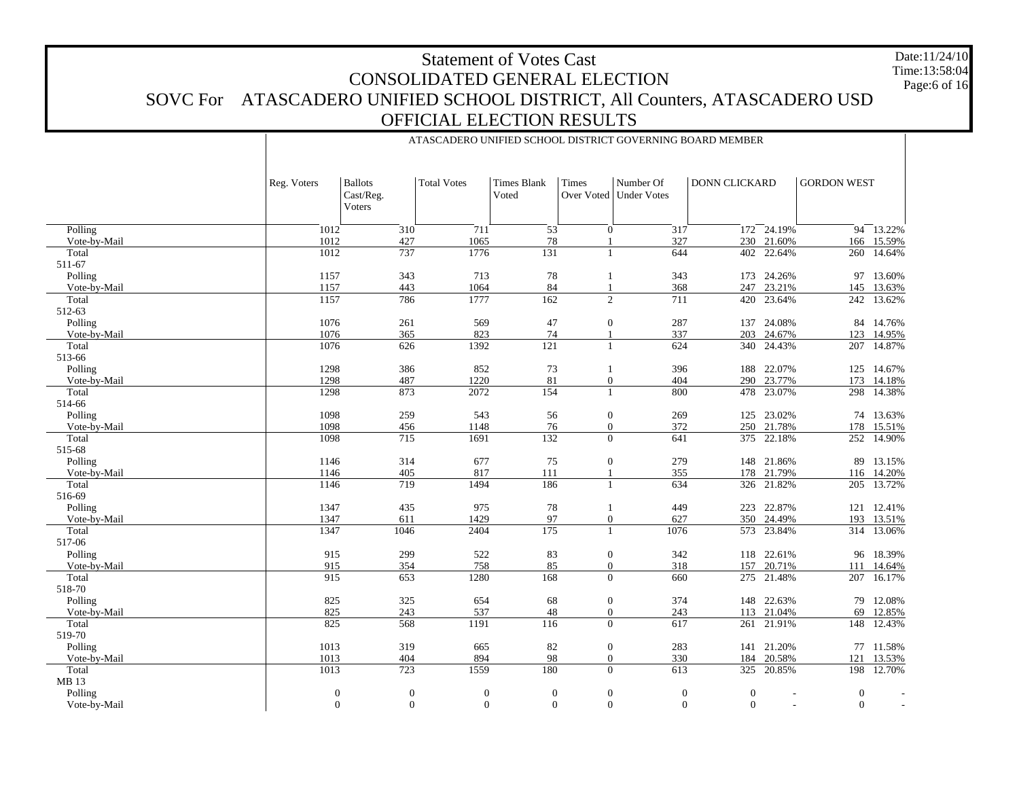# Statement of Votes Cast CONSOLIDATED GENERAL ELECTION SOVC For ATASCADERO UNIFIED SCHOOL DISTRICT, All Counters, ATASCADERO USD OFFICIAL ELECTION RESULTS Date:11/24/10Time:13:58:04

ATASCADERO UNIFIED SCHOOL DISTRICT GOVERNING BOARD MEMBER

Page:6 of 16

|                         | Reg. Voters                      | <b>Ballots</b><br>Cast/Reg.<br>Voters | <b>Total Votes</b>                 | <b>Times Blank</b><br>Voted | Times                            | Number Of<br>Over Voted   Under Votes | <b>DONN CLICKARD</b>             |                                    | <b>GORDON WEST</b>           |                     |
|-------------------------|----------------------------------|---------------------------------------|------------------------------------|-----------------------------|----------------------------------|---------------------------------------|----------------------------------|------------------------------------|------------------------------|---------------------|
| Polling                 | 1012                             | 310                                   | 711                                | $\overline{53}$             | $\mathbf{0}$                     | 317                                   |                                  | $172 - 24.19%$                     |                              | $94 - 13.22%$       |
| Vote-by-Mail            | 1012                             | 427                                   | 1065                               | 78                          |                                  | 327                                   |                                  | 230 21.60%                         | 166                          | 15.59%              |
| Total                   | 1012                             | 737                                   | 1776                               | 131                         | $\mathbf{1}$                     | 644                                   |                                  | 402 22.64%                         | 260                          | 14.64%              |
| 511-67                  |                                  |                                       |                                    |                             |                                  |                                       |                                  |                                    |                              |                     |
| Polling                 | 1157                             | 343                                   | 713                                | 78                          | -1                               | 343                                   |                                  | 173 24.26%                         | 97                           | 13.60%              |
| Vote-by-Mail            | 1157                             | 443                                   | 1064                               | 84                          | $\overline{1}$                   | 368                                   | 247                              | 23.21%                             | 145                          | 13.63%              |
| Total                   | 1157                             | 786                                   | 1777                               | 162                         | 2                                | 711                                   |                                  | 420 23.64%                         | 242                          | 13.62%              |
| 512-63                  |                                  |                                       |                                    |                             |                                  |                                       |                                  |                                    |                              |                     |
| Polling<br>Vote-by-Mail | 1076<br>1076                     | 261<br>365                            | 569<br>823                         | 47<br>74                    | $\mathbf{0}$                     | 287<br>337                            | 203                              | 137 24.08%<br>24.67%               | 123                          | 84 14.76%<br>14.95% |
| Total                   | 1076                             | 626                                   | 1392                               | 121                         | $\mathbf{1}$                     | 624                                   |                                  | 340 24.43%                         | 207                          | 14.87%              |
| 513-66                  |                                  |                                       |                                    |                             |                                  |                                       |                                  |                                    |                              |                     |
| Polling                 | 1298                             | 386                                   | 852                                | 73                          | -1                               | 396                                   | 188                              | 22.07%                             | 125                          | 14.67%              |
| Vote-by-Mail            | 1298                             | 487                                   | 1220                               | 81                          | $\mathbf{0}$                     | 404                                   | 290                              | 23.77%                             | 173                          | 14.18%              |
| Total                   | 1298                             | 873                                   | 2072                               | 154                         | $\mathbf{1}$                     | 800                                   | 478                              | 23.07%                             | 298                          | 14.38%              |
| 514-66                  |                                  |                                       |                                    |                             |                                  |                                       |                                  |                                    |                              |                     |
| Polling                 | 1098                             | 259                                   | 543                                | 56                          | $\mathbf{0}$                     | 269                                   |                                  | 125 23.02%                         | 74                           | 13.63%              |
| Vote-by-Mail            | 1098                             | 456                                   | 1148                               | 76                          | $\mathbf{0}$                     | 372                                   |                                  | 250 21.78%                         | 178                          | 15.51%              |
| Total                   | 1098                             | 715                                   | 1691                               | 132                         | $\mathbf{0}$                     | 641                                   | 375                              | 22.18%                             | 252                          | 14.90%              |
| 515-68                  |                                  |                                       |                                    |                             |                                  |                                       |                                  |                                    |                              |                     |
| Polling                 | 1146                             | 314                                   | 677                                | 75                          | $\mathbf{0}$                     | 279                                   |                                  | 148 21.86%                         | 89                           | 13.15%              |
| Vote-by-Mail            | 1146                             | 405                                   | 817                                | 111                         | $\overline{1}$                   | 355                                   | 178                              | 21.79%                             | 116                          | 14.20%              |
| Total                   | 1146                             | 719                                   | 1494                               | 186                         | $\mathbf{1}$                     | 634                                   |                                  | 326 21.82%                         | 205                          | 13.72%              |
| 516-69                  |                                  |                                       |                                    |                             |                                  |                                       |                                  |                                    |                              |                     |
| Polling<br>Vote-by-Mail | 1347<br>1347                     | 435<br>611                            | 975<br>1429                        | 78<br>97                    | $\mathbf{1}$<br>$\boldsymbol{0}$ | 449<br>627                            | 350                              | 223 22.87%<br>24.49%               | 193                          | 121 12.41%          |
| Total                   | 1347                             | 1046                                  | 2404                               | $\overline{175}$            | $\overline{1}$                   | 1076                                  |                                  | 573 23.84%                         | 314                          | 13.51%<br>13.06%    |
| 517-06                  |                                  |                                       |                                    |                             |                                  |                                       |                                  |                                    |                              |                     |
| Polling                 | 915                              | 299                                   | 522                                | 83                          | $\mathbf{0}$                     | 342                                   |                                  | 118 22.61%                         | 96                           | 18.39%              |
| Vote-by-Mail            | 915                              | 354                                   | 758                                | 85                          | $\boldsymbol{0}$                 | 318                                   | 157                              | 20.71%                             | 111                          | 14.64%              |
| Total                   | 915                              | 653                                   | 1280                               | 168                         | $\Omega$                         | 660                                   |                                  | 275 21.48%                         | 207                          | 16.17%              |
| 518-70                  |                                  |                                       |                                    |                             |                                  |                                       |                                  |                                    |                              |                     |
| Polling                 | 825                              | 325                                   | 654                                | 68                          | $\mathbf{0}$                     | 374                                   | 148                              | 22.63%                             | 79                           | 12.08%              |
| Vote-by-Mail            | 825                              | 243                                   | 537                                | 48                          | $\boldsymbol{0}$                 | 243                                   |                                  | 113 21.04%                         | 69                           | 12.85%              |
| Total                   | 825                              | 568                                   | 1191                               | 116                         | $\overline{0}$                   | 617                                   | 261                              | 21.91%                             | 148                          | 12.43%              |
| 519-70                  |                                  |                                       |                                    |                             |                                  |                                       |                                  |                                    |                              |                     |
| Polling                 | 1013                             | 319                                   | 665                                | 82                          | $\mathbf{0}$                     | 283                                   |                                  | 141 21.20%                         |                              | 77 11.58%           |
| Vote-by-Mail            | 1013                             | 404                                   | 894                                | 98                          | $\boldsymbol{0}$                 | 330                                   | 184                              | 20.58%                             | 121                          | 13.53%              |
| Total                   | 1013                             | 723                                   | 1559                               | 180                         | $\theta$                         | 613                                   |                                  | 325 20.85%                         | 198                          | 12.70%              |
| MB 13                   |                                  | $\boldsymbol{0}$                      |                                    |                             |                                  |                                       |                                  |                                    |                              |                     |
| Polling<br>Vote-by-Mail | $\boldsymbol{0}$<br>$\mathbf{0}$ | $\overline{0}$                        | $\boldsymbol{0}$<br>$\overline{0}$ | $\mathbf{0}$<br>$\Omega$    | $\mathbf{0}$<br>$\overline{0}$   | $\boldsymbol{0}$<br>$\mathbf{0}$      | $\boldsymbol{0}$<br>$\mathbf{0}$ | $\overline{\phantom{a}}$<br>$\sim$ | $\mathbf{0}$<br>$\mathbf{0}$ |                     |
|                         |                                  |                                       |                                    |                             |                                  |                                       |                                  |                                    |                              |                     |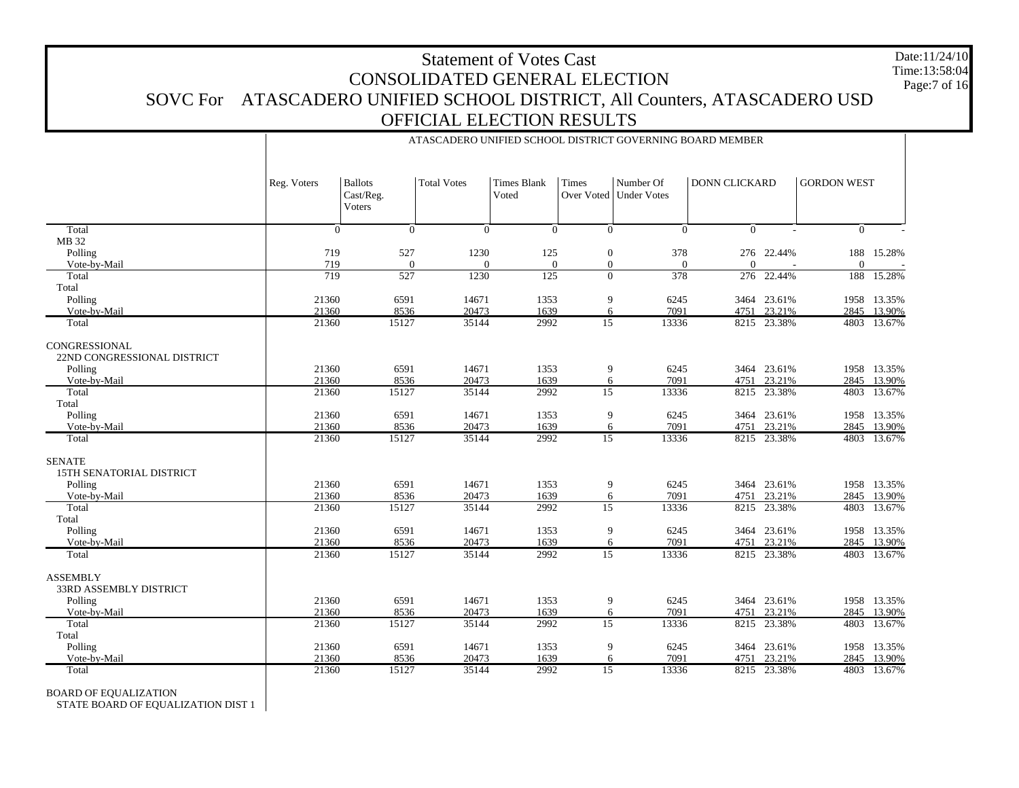# Statement of Votes Cast CONSOLIDATED GENERAL ELECTION SOVC For ATASCADERO UNIFIED SCHOOL DISTRICT, All Counters, ATASCADERO USD OFFICIAL ELECTION RESULTS Date:11/24/10 Time:13:58:04Page:7 of 16

ATASCADERO UNIFIED SCHOOL DISTRICT GOVERNING BOARD MEMBER

|                                                  | Reg. Voters    | <b>Ballots</b><br>Cast/Reg.<br>Voters | <b>Total Votes</b> | <b>Times Blank</b><br>Voted | Times                              | Number Of<br>Over Voted   Under Votes | <b>DONN CLICKARD</b> |                       | <b>GORDON WEST</b> |                            |
|--------------------------------------------------|----------------|---------------------------------------|--------------------|-----------------------------|------------------------------------|---------------------------------------|----------------------|-----------------------|--------------------|----------------------------|
| Total                                            | $\Omega$       | $\theta$                              | $\theta$           | $\theta$                    | $\mathbf{0}$                       | $\Omega$                              | $\Omega$             |                       | $\overline{0}$     |                            |
| MB 32                                            |                |                                       |                    |                             |                                    |                                       |                      |                       |                    |                            |
| Polling<br>Vote-by-Mail                          | 719<br>719     | 527<br>$\overline{0}$                 | 1230<br>$\theta$   | 125<br>$\overline{0}$       | $\boldsymbol{0}$<br>$\overline{0}$ | 378<br>$\mathbf{0}$                   | $\Omega$             | 276 22.44%            | $\mathbf{0}$       | 188 15.28%                 |
| Total                                            | 719            | 527                                   | 1230               | 125                         | $\mathbf{0}$                       | 378                                   | 276                  | 22.44%                | 188                | 15.28%                     |
| Total                                            |                |                                       |                    |                             |                                    |                                       |                      |                       |                    |                            |
| Polling                                          | 21360          | 6591                                  | 14671              | 1353                        | 9                                  | 6245                                  | 3464                 | 23.61%                | 1958               | 13.35%                     |
| Vote-by-Mail                                     | 21360          | 8536                                  | 20473              | 1639                        | 6                                  | 7091                                  | 4751                 | 23.21%                | 2845               | 13.90%                     |
| Total                                            | 21360          | 15127                                 | 35144              | 2992                        | $\overline{15}$                    | 13336                                 | 8215                 | 23.38%                | 4803               | 13.67%                     |
| CONGRESSIONAL<br>22ND CONGRESSIONAL DISTRICT     |                |                                       |                    |                             |                                    |                                       |                      |                       |                    |                            |
| Polling                                          | 21360          | 6591                                  | 14671              | 1353                        | 9                                  | 6245                                  |                      | 3464 23.61%           |                    | 1958 13.35%                |
| Vote-by-Mail                                     | 21360          | 8536                                  | 20473              | 1639                        | 6                                  | 7091                                  | 4751                 | 23.21%                |                    | 2845 13.90%                |
| Total                                            | 21360          | 15127                                 | 35144              | 2992                        | 15                                 | 13336                                 | 8215                 | 23.38%                | 4803               | 13.67%                     |
| Total                                            |                |                                       |                    |                             |                                    |                                       |                      |                       |                    |                            |
| Polling<br>Vote-by-Mail                          | 21360<br>21360 | 6591<br>8536                          | 14671<br>20473     | 1353<br>1639                | 9<br>6                             | 6245<br>7091                          | 4751                 | 3464 23.61%<br>23.21% |                    | 1958 13.35%<br>2845 13.90% |
| Total                                            | 21360          | 15127                                 | 35144              | 2992                        | $\overline{15}$                    | 13336                                 |                      | 8215 23.38%           |                    | 4803 13.67%                |
|                                                  |                |                                       |                    |                             |                                    |                                       |                      |                       |                    |                            |
| <b>SENATE</b><br><b>15TH SENATORIAL DISTRICT</b> |                |                                       |                    |                             |                                    |                                       |                      |                       |                    |                            |
| Polling                                          | 21360          | 6591                                  | 14671              | 1353                        | 9                                  | 6245                                  | 3464                 | 23.61%                |                    | 1958 13.35%                |
| Vote-by-Mail                                     | 21360          | 8536                                  | 20473              | 1639                        | 6                                  | 7091                                  | 4751                 | 23.21%                | 2845               | 13.90%                     |
| Total                                            | 21360          | 15127                                 | 35144              | 2992                        | $\overline{15}$                    | 13336                                 | 8215                 | 23.38%                | 4803               | 13.67%                     |
| Total                                            |                |                                       |                    |                             |                                    |                                       |                      |                       |                    |                            |
| Polling                                          | 21360          | 6591                                  | 14671              | 1353                        | 9                                  | 6245                                  |                      | 3464 23.61%           |                    | 1958 13.35%                |
| Vote-by-Mail                                     | 21360          | 8536                                  | 20473              | 1639                        | 6                                  | 7091                                  | 4751                 | 23.21%                | 2845               | 13.90%                     |
| Total                                            | 21360          | 15127                                 | 35144              | 2992                        | $\overline{15}$                    | 13336                                 |                      | 8215 23.38%           |                    | 4803 13.67%                |
| <b>ASSEMBLY</b><br><b>33RD ASSEMBLY DISTRICT</b> |                |                                       |                    |                             |                                    |                                       |                      |                       |                    |                            |
| Polling                                          | 21360          | 6591                                  | 14671              | 1353                        | 9                                  | 6245                                  |                      | 3464 23.61%           |                    | 1958 13.35%                |
| Vote-by-Mail                                     | 21360          | 8536                                  | 20473              | 1639                        | 6                                  | 7091                                  | 4751                 | 23.21%                | 2845               | 13.90%                     |
| Total                                            | 21360          | 15127                                 | 35144              | 2992                        | $\overline{15}$                    | 13336                                 | 8215                 | 23.38%                | 4803               | 13.67%                     |
| Total                                            |                |                                       |                    |                             |                                    |                                       |                      |                       |                    |                            |
| Polling                                          | 21360          | 6591                                  | 14671              | 1353                        | 9                                  | 6245                                  | 3464                 | 23.61%                | 1958               | 13.35%                     |
| Vote-by-Mail                                     | 21360          | 8536                                  | 20473              | 1639<br>2992                | 6                                  | 7091                                  | 4751                 | 23.21%                | 2845               | 13.90%                     |
| Total                                            | 21360          | 15127                                 | 35144              |                             | 15                                 | 13336                                 |                      | 8215 23.38%           |                    | 4803 13.67%                |

BOARD OF EQUALIZATION

STATE BOARD OF EQUALIZATION DIST 1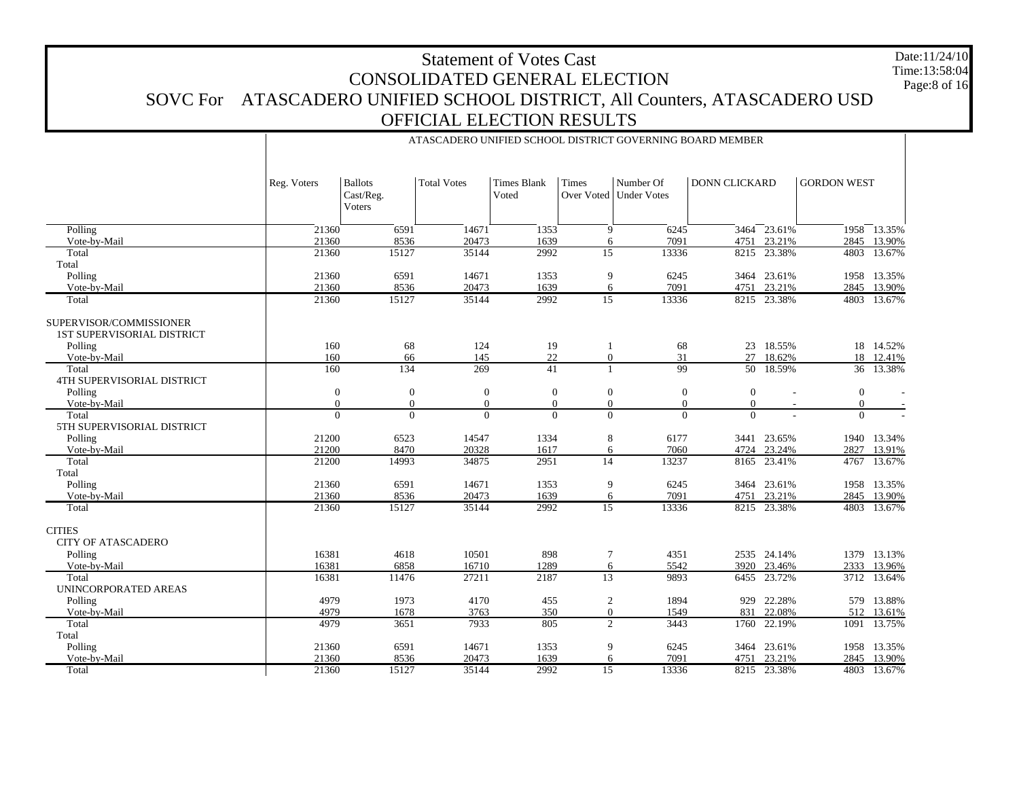# Statement of Votes Cast CONSOLIDATED GENERAL ELECTION SOVC For ATASCADERO UNIFIED SCHOOL DISTRICT, All Counters, ATASCADERO USD OFFICIAL ELECTION RESULTS Date:11/24/10Time:13:58:04

| <b>Times Blank</b><br>Number Of<br><b>DONN CLICKARD</b><br><b>Ballots</b><br><b>Total Votes</b><br>Times<br>Reg. Voters<br>Over Voted   Under Votes<br>Cast/Reg.<br>Voted<br>Voters | <b>GORDON WEST</b> |           |
|-------------------------------------------------------------------------------------------------------------------------------------------------------------------------------------|--------------------|-----------|
| 14671<br>23.61%<br>Polling<br>21360<br>6591<br>1353<br>9<br>6245<br>3464                                                                                                            | 1958 13.35%        |           |
| 21360<br>8536<br>20473<br>1639<br>7091<br>23.21%<br>Vote-by-Mail<br>6<br>4751                                                                                                       | 2845               | 13.90%    |
| 2992<br>15<br>23.38%<br>Total<br>21360<br>15127<br>35144<br>13336<br>8215                                                                                                           | 4803               | 13.67%    |
| Total                                                                                                                                                                               |                    |           |
| Polling<br>21360<br>6591<br>14671<br>9<br>6245<br>1353<br>3464 23.61%                                                                                                               | 1958 13.35%        |           |
| 20473<br>1639<br>7091<br>23.21%<br>Vote-by-Mail<br>21360<br>8536<br>6<br>4751                                                                                                       | 2845               | 13.90%    |
| 2992<br>13336<br>8215 23.38%<br>21360<br>15127<br>35144<br>$\overline{15}$<br>Total                                                                                                 | 4803 13.67%        |           |
| SUPERVISOR/COMMISSIONER<br><b>1ST SUPERVISORIAL DISTRICT</b>                                                                                                                        |                    |           |
| Polling<br>160<br>68<br>124<br>19<br>68<br>23 18.55%<br>-1                                                                                                                          |                    | 18 14.52% |
| 22<br>160<br>66<br>145<br>$\overline{0}$<br>31<br>27<br>18.62%<br>Vote-by-Mail                                                                                                      | 18                 | 12.41%    |
| 269<br>99<br>50 18.59%<br>Total<br>160<br>134<br>41<br>$\mathbf{1}$                                                                                                                 |                    | 36 13.38% |
| <b>4TH SUPERVISORIAL DISTRICT</b>                                                                                                                                                   |                    |           |
| Polling<br>$\boldsymbol{0}$<br>$\mathbf{0}$<br>$\mathbf{0}$<br>$\boldsymbol{0}$<br>$\boldsymbol{0}$<br>$\boldsymbol{0}$<br>$\boldsymbol{0}$                                         | $\boldsymbol{0}$   |           |
| $\theta$<br>$\overline{0}$<br>$\mathbf{0}$<br>$\mathbf{0}$<br>$\boldsymbol{0}$<br>$\Omega$<br>Vote-by-Mail<br>$\Omega$                                                              | $\boldsymbol{0}$   |           |
| $\overline{0}$<br>$\overline{0}$<br>Total<br>$\theta$<br>$\theta$<br>$\Omega$<br>$\Omega$<br>$\Omega$                                                                               | $\Omega$           |           |
| 5TH SUPERVISORIAL DISTRICT                                                                                                                                                          |                    |           |
| Polling<br>21200<br>6523<br>14547<br>1334<br>8<br>23.65%<br>6177<br>3441                                                                                                            | 1940               | 13.34%    |
| 23.24%<br>Vote-by-Mail<br>21200<br>8470<br>20328<br>1617<br>6<br>7060<br>4724                                                                                                       | 2827               | 13.91%    |
| $\overline{14}$<br>21200<br>14993<br>34875<br>2951<br>13237<br>23.41%<br>Total<br>8165                                                                                              | 4767               | 13.67%    |
| Total                                                                                                                                                                               |                    |           |
| 6591<br>1353<br>9<br>Polling<br>21360<br>14671<br>6245<br>3464 23.61%                                                                                                               | 1958 13.35%        |           |
| 20473<br>1639<br>7091<br>23.21%<br>Vote-by-Mail<br>21360<br>8536<br>6<br>4751                                                                                                       | 2845               | 13.90%    |
| 2992<br>$\overline{15}$<br>13336<br>21360<br>15127<br>35144<br>8215<br>23.38%<br>Total                                                                                              | 4803               | 13.67%    |
| <b>CITIES</b>                                                                                                                                                                       |                    |           |
| <b>CITY OF ATASCADERO</b>                                                                                                                                                           |                    |           |
| Polling<br>16381<br>4618<br>10501<br>898<br>4351<br>2535 24.14%<br>7                                                                                                                | 1379 13.13%        |           |
| 16381<br>16710<br>1289<br>6858<br>6<br>5542<br>23.46%<br>Vote-by-Mail<br>3920                                                                                                       | 2333               | 13.96%    |
| $\overline{13}$<br>Total<br>16381<br>11476<br>27211<br>2187<br>23.72%<br>9893<br>6455<br>UNINCORPORATED AREAS                                                                       | 3712               | 13.64%    |
| Polling<br>4979<br>1973<br>4170<br>455<br>$\boldsymbol{2}$<br>1894<br>22.28%<br>929                                                                                                 | 579                | 13.88%    |
| 4979<br>3763<br>350<br>831<br>22.08%<br>Vote-by-Mail<br>1678<br>$\mathbf{0}$<br>1549                                                                                                | 512                | 13.61%    |
| 7933<br>$\overline{2}$<br>Total<br>4979<br>3651<br>805<br>3443<br>22.19%<br>1760                                                                                                    | 1091               | 13.75%    |
| Total                                                                                                                                                                               |                    |           |
| Polling<br>21360<br>6591<br>14671<br>1353<br>9<br>6245<br>23.61%<br>3464                                                                                                            | 1958               | 13.35%    |
| 1639<br>Vote-by-Mail<br>21360<br>8536<br>20473<br>7091<br>23.21%<br>6<br>4751                                                                                                       | 2845 13.90%        |           |
| 21360<br>15127<br>35144<br>2992<br>$\overline{15}$<br>13336<br>8215 23.38%<br>Total                                                                                                 | 4803 13.67%        |           |

# ATASCADERO UNIFIED SCHOOL DISTRICT GOVERNING BOARD MEMBER

Page:8 of 16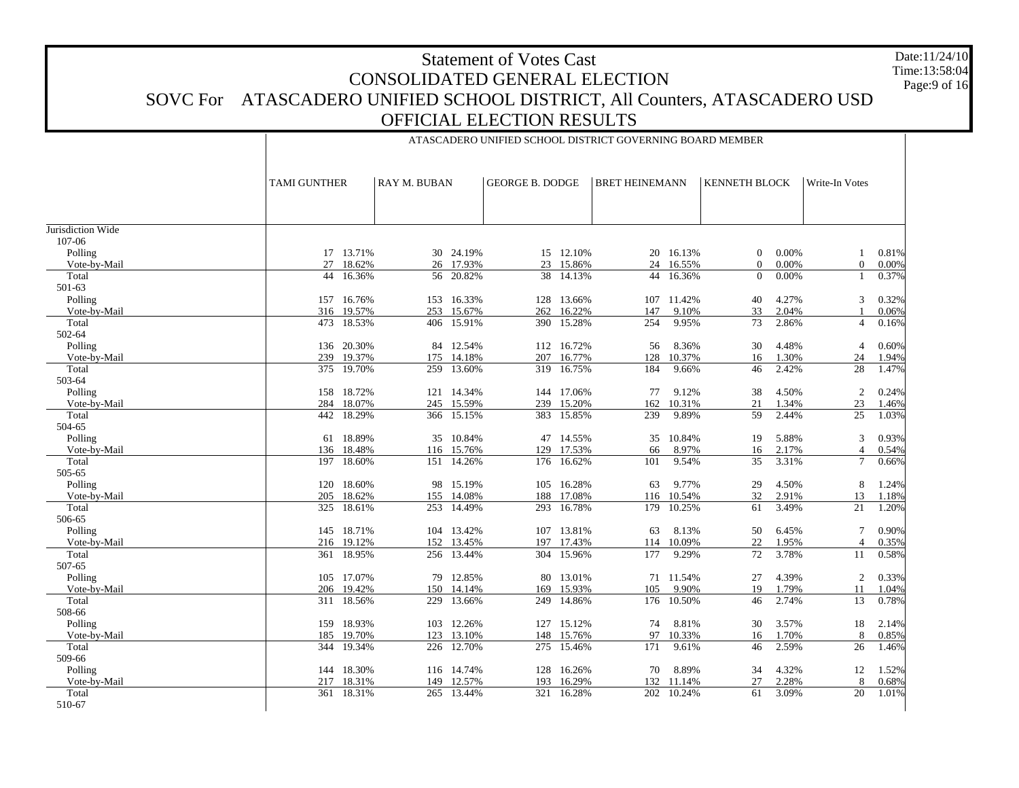# Statement of Votes Cast CONSOLIDATED GENERAL ELECTION SOVC For ATASCADERO UNIFIED SCHOOL DISTRICT, All Counters, ATASCADERO USD OFFICIAL ELECTION RESULTS Date:11/24/10 Time:13:58:04 Page:9 of 16

ATASCADERO UNIFIED SCHOOL DISTRICT GOVERNING BOARD MEMBER

|                   | TAMI GUNTHER  | RAY M. BUBAN |        | <b>GEORGE B. DODGE</b> |            | <b>BRET HEINEMANN</b> |           | <b>KENNETH BLOCK</b> |       | Write-In Votes |       |
|-------------------|---------------|--------------|--------|------------------------|------------|-----------------------|-----------|----------------------|-------|----------------|-------|
|                   |               |              |        |                        |            |                       |           |                      |       |                |       |
| Jurisdiction Wide |               |              |        |                        |            |                       |           |                      |       |                |       |
| 107-06            |               |              |        |                        |            |                       |           |                      |       |                |       |
| Polling           | 17 13.71%     | 30 24.19%    |        |                        | 15 12.10%  |                       | 20 16.13% | $\overline{0}$       | 0.00% | 1              | 0.81% |
| Vote-by-Mail      | 18.62%<br>27  | 26           | 17.93% | 23                     | 15.86%     | 24                    | 16.55%    | $\overline{0}$       | 0.00% | $\overline{0}$ | 0.00% |
| Total             | 16.36%<br>44  | 56           | 20.82% | 38                     | 14.13%     | 44                    | 16.36%    | $\overline{0}$       | 0.00% |                | 0.37% |
| 501-63            |               |              |        |                        |            |                       |           |                      |       |                |       |
| Polling           | 16.76%<br>157 | 153          | 16.33% |                        | 128 13.66% | 107                   | 11.42%    | 40                   | 4.27% | 3              | 0.32% |
| Vote-by-Mail      | 316<br>19.57% | 253          | 15.67% | 262                    | 16.22%     | 147                   | 9.10%     | 33                   | 2.04% |                | 0.06% |
| Total             | 18.53%<br>473 | 406          | 15.91% | 390                    | 15.28%     | 254                   | 9.95%     | 73                   | 2.86% | $\overline{4}$ | 0.16% |
| 502-64            |               |              |        |                        |            |                       |           |                      |       |                |       |
| Polling           | 20.30%<br>136 | 84           | 12.54% |                        | 112 16.72% | 56                    | 8.36%     | 30                   | 4.48% | 4              | 0.60% |
| Vote-bv-Mail      | 239<br>19.37% | 175          | 14.18% | 207                    | 16.77%     | 128                   | 10.37%    | 16                   | 1.30% | 24             | 1.94% |
| Total             | 19.70%<br>375 | 259          | 13.60% |                        | 319 16.75% | 184                   | 9.66%     | 46                   | 2.42% | 28             | 1.47% |
| 503-64            |               |              |        |                        |            |                       |           |                      |       |                |       |
| Polling           | 158<br>18.72% | 121 14.34%   |        |                        | 144 17.06% | 77                    | 9.12%     | 38                   | 4.50% | $\overline{c}$ | 0.24% |
| Vote-by-Mail      | 18.07%<br>284 | 245 15.59%   |        | 239                    | 15.20%     | 162                   | 10.31%    | 21                   | 1.34% | 23             | 1.46% |
| Total             | 442 18.29%    | 366 15.15%   |        |                        | 383 15.85% | 239                   | 9.89%     | 59                   | 2.44% | 25             | 1.03% |
| 504-65            |               |              |        |                        |            |                       |           |                      |       |                |       |
| Polling           | 18.89%<br>61  | 35 10.84%    |        |                        | 47 14.55%  | 35                    | 10.84%    | 19                   | 5.88% | 3              | 0.93% |
| Vote-by-Mail      | 18.48%<br>136 | 116          | 15.76% | 129                    | 17.53%     | 66                    | 8.97%     | 16                   | 2.17% | $\overline{4}$ | 0.54% |
| Total             | 18.60%<br>197 | 151          | 14.26% | 176                    | 16.62%     | 101                   | 9.54%     | 35                   | 3.31% | $\overline{7}$ | 0.66% |
| 505-65            |               |              |        |                        |            |                       |           |                      |       |                |       |
| Polling           | 18.60%<br>120 | 98           | 15.19% | 105                    | 16.28%     | 63                    | 9.77%     | 29                   | 4.50% | 8              | 1.24% |
| Vote-by-Mail      | 205<br>18.62% | 155          | 14.08% | 188                    | 17.08%     | 116                   | 10.54%    | 32                   | 2.91% | 13             | 1.18% |
| Total             | 325<br>18.61% | 253          | 14.49% | 293                    | 16.78%     | 179                   | 10.25%    | 61                   | 3.49% | 21             | 1.20% |
| 506-65            |               |              |        |                        |            |                       |           |                      |       |                |       |
| Polling           | 18.71%<br>145 | 104          | 13.42% | 107                    | 13.81%     | 63                    | 8.13%     | 50                   | 6.45% | 7              | 0.90% |
| Vote-by-Mail      | 216<br>19.12% | 152          | 13.45% | 197                    | 17.43%     | 114                   | 10.09%    | 22                   | 1.95% | 4              | 0.35% |
| Total             | 18.95%<br>361 | 256          | 13.44% | 304                    | 15.96%     | 177                   | 9.29%     | 72                   | 3.78% | 11             | 0.58% |
| 507-65            |               |              |        |                        |            |                       |           |                      |       |                |       |
| Polling           | 17.07%<br>105 | 79           | 12.85% | 80                     | 13.01%     | 71                    | 11.54%    | 27                   | 4.39% | $\overline{c}$ | 0.33% |
| Vote-bv-Mail      | 206<br>19.42% | 150          | 14.14% | 169                    | 15.93%     | 105                   | 9.90%     | 19                   | 1.79% | 11             | 1.04% |
| Total             | 311 18.56%    | 229          | 13.66% |                        | 249 14.86% | 176                   | 10.50%    | 46                   | 2.74% | 13             | 0.78% |
| 508-66            |               |              |        |                        |            |                       |           |                      |       |                |       |
| Polling           | 159 18.93%    | 103 12.26%   |        |                        | 127 15.12% | 74                    | 8.81%     | 30                   | 3.57% | 18             | 2.14% |
| Vote-by-Mail      | 185<br>19.70% | 123          | 13.10% | 148                    | 15.76%     | 97                    | 10.33%    | 16                   | 1.70% | 8              | 0.85% |
| Total             | 344<br>19.34% | 226          | 12.70% |                        | 275 15.46% | 171                   | 9.61%     | 46                   | 2.59% | 26             | 1.46% |
| 509-66            |               |              |        |                        |            |                       |           |                      |       |                |       |
| Polling           | 18.30%<br>144 | 116 14.74%   |        |                        | 128 16.26% | 70                    | 8.89%     | 34                   | 4.32% | 12             | 1.52% |
| Vote-by-Mail      | 217<br>18.31% | 149          | 12.57% | 193                    | 16.29%     | 132                   | 11.14%    | 27                   | 2.28% | 8              | 0.68% |
| Total             | 361<br>18.31% | 265 13.44%   |        | 321                    | 16.28%     | 202                   | 10.24%    | 61                   | 3.09% | 20             | 1.01% |
| 510-67            |               |              |        |                        |            |                       |           |                      |       |                |       |
|                   |               |              |        |                        |            |                       |           |                      |       |                |       |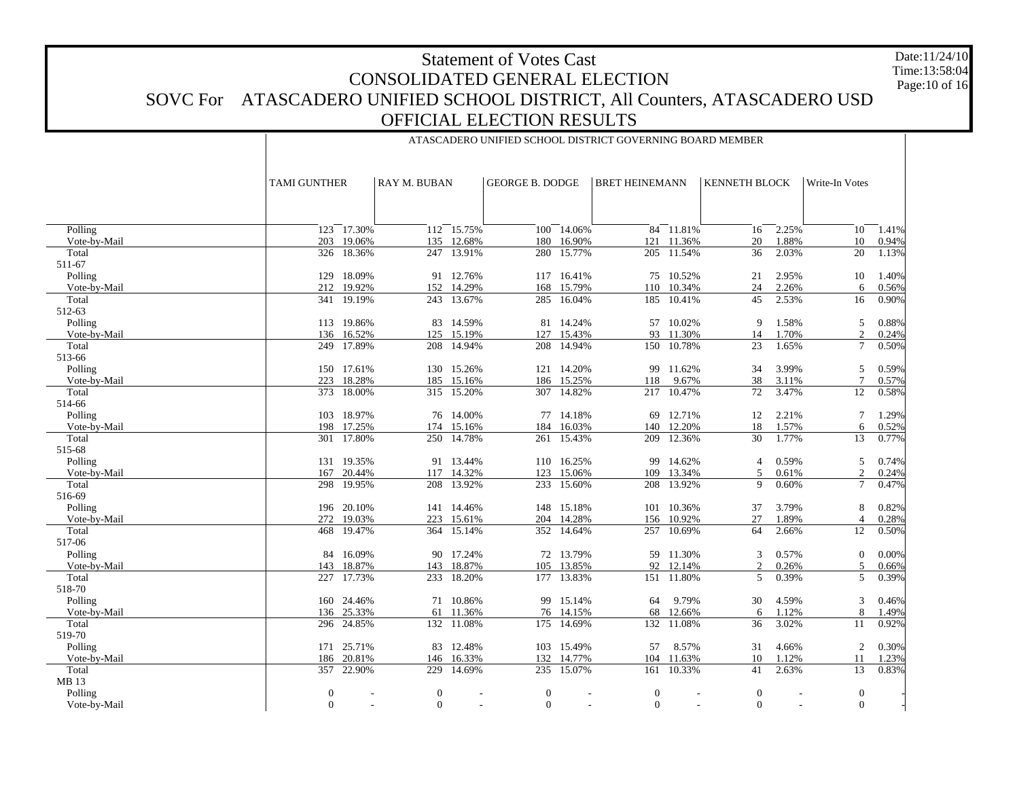# Statement of Votes CastCONSOLIDATED GENERAL ELECTIONSOVC For ATASCADERO UNIFIED SCHOOL DISTRICT, All Counters, ATASCADERO USD OFFICIAL ELECTION RESULTSDate:11/24/10Time:13:58:04Page:10 of 16

ATASCADERO UNIFIED SCHOOL DISTRICT GOVERNING BOARD MEMBER

 Polling Vote-by-Mail Total 511-67 Polling Vote-by-Mail Total 512-63 Polling Vote-by-Mail Total 513-66 Polling Vote-by-Mail Total 514-66 Polling Vote-by-Mail Total 515-68 Polling Vote-by-Mail Total 516-69 Polling Vote-by-Mail Total 517-06 Polling Vote-by-Mail Total 518-70 Polling Vote-by-Mail Total 519-70 Polling Vote-by-Mail Total MB 13 Polling Vote-by-Mail TAMI GUNTHER RAY M. BUBANGEORGE B. DODGE | BRET HEINEMANN | KENNETH BLOCK | Write-In Votes 123 17.30% 112 15.75% 100 14.06% 84 11.81% 16 2.25% 10 1.41% 203 19.06% 135 12.68% 180 16.90% 121 11.36% 20 1.88% 10 0.94% 326 18.36% 247 13.91% 280 15.77% 205 11.54% 36 2.03% 20 1.13% 129 18.09% 91 12.76% 117 16.41% 75 10.52% 21 2.95% 10 1.40% 212 19.92% 152 14.29% 168 15.79% 110 10.34% 24 2.26% 6 0.56% 341 19.19% 243 13.67% 285 16.04% 185 10.41% 45 2.53% 16 0.90% 113 19.86% 83 14.59% 81 14.24% 57 10.02% 9 1.58% 5 0.88% 136 16.52% 125 15.19% 127 15.43% 93 11.30% 14 1.70% 2 0.24% 249 17.89% 208 14.94% 208 14.94% 150 10.78% 23 1.65% 7 0.50% 150 17.61% 130 15.26% 121 14.20% 99 11.62% 34 3.99% 5 0.59% 223 18.28% 185 15.16% 186 15.25% 118 9.67% 38 3.11% 7 0.57% 373 18.00% 315 15.20% 307 14.82% 217 10.47% 72 3.47% 12 0.58% 103 18.97% 76 14.00% 77 14.18% 69 12.71% 12 2.21% 7 1.29% 198 17.25% 174 15.16% 184 16.03% 140 12.20% 18 1.57% 6 0.52% 301 17.80% 250 14.78% 261 15.43% 209 12.36% 30 1.77% 13 0.77% 131 19.35% 91 13.44% 110 16.25% 99 14.62% 4 0.59% 5 0.74% 167 20.44% 117 14.32% 123 15.06% 109 13.34% 5 0.61% 2 0.24% 298 19.95% 208 13.92% 233 15.60% 208 13.92% 9 0.60% 7 0.47% 196 20.10% 141 14.46% 148 15.18% 101 10.36% 37 3.79% 8 0.82% 272 19.03% 223 15.61% 204 14.28% 156 10.92% 27 1.89% 4 0.28% 468 19.47% 364 15.14% 352 14.64% 257 10.69% 64 2.66% 12 0.50% 84 16.09% 90 17.24% 72 13.79% 59 11.30% 3 0.57% 0 0.00% 143 18.87% 143 18.87% 105 13.85% 92 12.14% 2 0.26% 5 0.66% 227 17.73% 233 18.20% 177 13.83% 151 11.80% 5 0.39% 5 0.39% 160 24.46% 71 10.86% 99 15.14% 64 9.79% 30 4.59% 3 0.46% 136 25.33% $\%$  61 11.36% 76 14.15% 68 12.66% 6 1.12% 8 1.49% 296 24.85% 132 11.08% 175 14.69% 132 11.08% 36 3.02% 11 0.92% 171 25.71% 83 12.48% 103 15.49% 57 8.57% 31 4.66% 2 0.30% 186 20.81% 146 16.33% 132 14.77% 104 11.63% 10 1.12% 11 1.23% 357 22.90% 229 14.69% 235 15.07% 161 10.33% 41 2.63% 13 0.83% 0 - 0 - 0 - 0 - 0 - 0 -  $\Omega$ - 0 - 0 - 0 - 0 - 0 -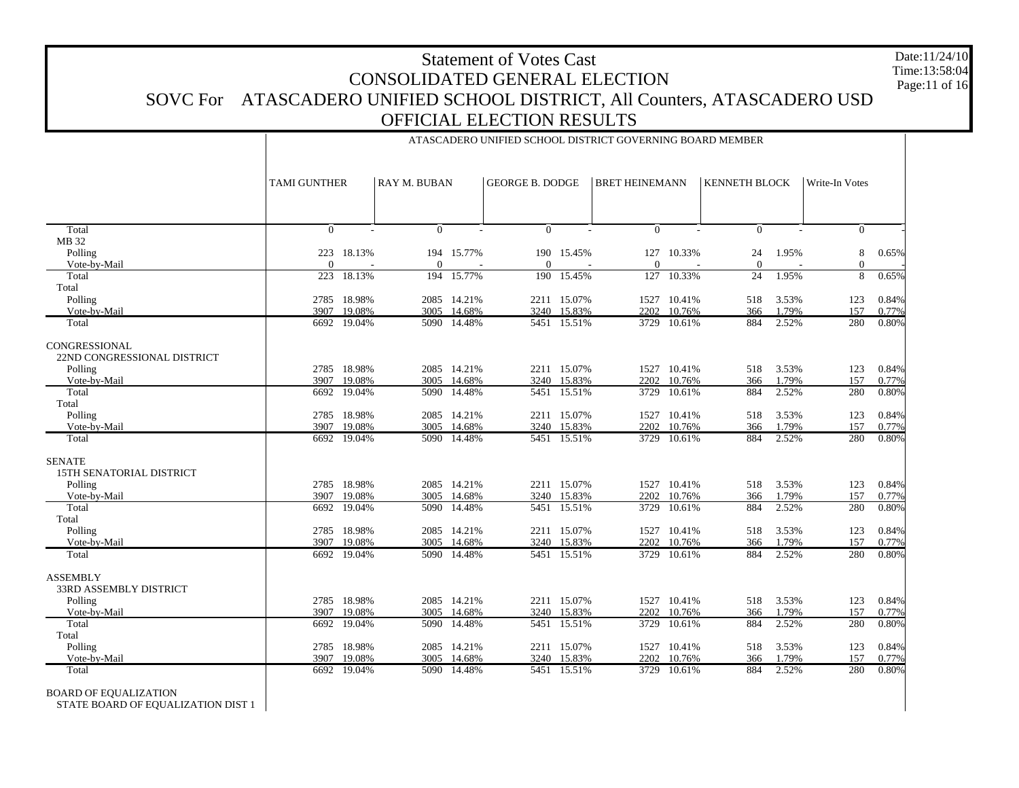# Statement of Votes Cast CONSOLIDATED GENERAL ELECTION SOVC For ATASCADERO UNIFIED SCHOOL DISTRICT, All Counters, ATASCADERO USD OFFICIAL ELECTION RESULTS Date:11/24/10 Time:13:58:04Page:11 of 16

ATASCADERO UNIFIED SCHOOL DISTRICT GOVERNING BOARD MEMBER

|                                          |                     |                       |          |                       |          |                        | <b>BRET HEINEMANN</b> |                       |                      |                |                   |                |
|------------------------------------------|---------------------|-----------------------|----------|-----------------------|----------|------------------------|-----------------------|-----------------------|----------------------|----------------|-------------------|----------------|
|                                          | <b>TAMI GUNTHER</b> |                       |          | <b>RAY M. BUBAN</b>   |          | <b>GEORGE B. DODGE</b> |                       |                       | <b>KENNETH BLOCK</b> |                | Write-In Votes    |                |
|                                          |                     |                       |          |                       |          |                        |                       |                       |                      |                |                   |                |
| Total                                    | $\Omega$            |                       | $\Omega$ |                       | $\Omega$ |                        | $\Omega$              |                       | $\Omega$             |                | $\mathbf{0}$      |                |
| MB 32                                    |                     |                       |          |                       |          |                        |                       |                       |                      |                |                   |                |
| Polling<br>Vote-by-Mail                  | 223<br>$\Omega$     | 18.13%                | $\Omega$ | 194 15.77%            | $\Omega$ | 190 15.45%             | 127<br>$\Omega$       | 10.33%                | 24<br>$\mathbf{0}$   | 1.95%          | 8<br>$\mathbf{0}$ | 0.65%          |
| Total                                    | 223                 | 18.13%                |          | 194 15.77%            | 190      | 15.45%                 | 127                   | 10.33%                | 24                   | 1.95%          | 8                 | 0.65%          |
| Total                                    |                     |                       |          |                       |          |                        |                       |                       |                      |                |                   |                |
| Polling                                  | 2785                | 18.98%                |          | 2085 14.21%           |          | 2211 15.07%            | 1527                  | 10.41%                | 518                  | 3.53%          | 123               | 0.84%          |
| Vote-by-Mail                             | 3907                | 19.08%                | 3005     | 14.68%                | 3240     | 15.83%                 | 2202                  | 10.76%                | 366                  | 1.79%          | 157               | 0.77%          |
| Total                                    | 6692                | 19.04%                | 5090     | 14.48%                | 5451     | 15.51%                 | 3729                  | 10.61%                | 884                  | 2.52%          | 280               | 0.80%          |
| CONGRESSIONAL                            |                     |                       |          |                       |          |                        |                       |                       |                      |                |                   |                |
| 22ND CONGRESSIONAL DISTRICT              |                     |                       |          |                       |          |                        |                       |                       |                      |                |                   |                |
| Polling                                  | 2785                | 18.98%                |          | 2085 14.21%           |          | 2211 15.07%            |                       | 1527 10.41%           | 518                  | 3.53%          | 123               | 0.84%          |
| Vote-by-Mail                             | 3907                | 19.08%                | 3005     | 14.68%                | 3240     | 15.83%                 | 2202                  | 10.76%                | 366                  | 1.79%          | 157               | 0.77%          |
| Total                                    | 6692                | 19.04%                | 5090     | 14.48%                | 5451     | 15.51%                 | 3729                  | 10.61%                | 884                  | 2.52%          | 280               | 0.80%          |
| Total<br>Polling                         | 2785                | 18.98%                |          | 2085 14.21%           |          | 2211 15.07%            | 1527                  | 10.41%                | 518                  | 3.53%          |                   | 0.84%          |
| Vote-by-Mail                             | 3907                | 19.08%                | 3005     | 14.68%                | 3240     | 15.83%                 | 2202                  | 10.76%                | 366                  | 1.79%          | 123<br>157        | 0.77%          |
| Total                                    | 6692                | 19.04%                |          | 5090 14.48%           |          | 5451 15.51%            | 3729                  | 10.61%                | 884                  | 2.52%          | 280               | 0.80%          |
| <b>SENATE</b>                            |                     |                       |          |                       |          |                        |                       |                       |                      |                |                   |                |
| 15TH SENATORIAL DISTRICT                 |                     |                       |          |                       |          |                        |                       |                       |                      |                |                   |                |
| Polling                                  | 2785                | 18.98%                |          | 2085 14.21%           |          | 2211 15.07%            | 1527                  | 10.41%                | 518                  | 3.53%          | 123               | 0.84%          |
| Vote-by-Mail                             | 3907                | 19.08%                | 3005     | 14.68%                | 3240     | 15.83%                 | 2202                  | 10.76%                | 366                  | 1.79%          | 157               | 0.77%          |
| Total                                    | 6692                | 19.04%                | 5090     | 14.48%                | 5451     | 15.51%                 | 3729                  | 10.61%                | 884                  | 2.52%          | 280               | 0.80%          |
| Total                                    |                     |                       |          |                       |          |                        |                       |                       |                      |                |                   |                |
| Polling<br>Vote-by-Mail                  | 3907                | 2785 18.98%<br>19.08% | 3005     | 2085 14.21%<br>14.68% | 3240     | 2211 15.07%<br>15.83%  | 2202                  | 1527 10.41%<br>10.76% | 518<br>366           | 3.53%<br>1.79% | 123<br>157        | 0.84%<br>0.77% |
| Total                                    | 6692                | 19.04%                |          | 5090 14.48%           |          | 5451 15.51%            | 3729                  | 10.61%                | 884                  | 2.52%          | 280               | 0.80%          |
|                                          |                     |                       |          |                       |          |                        |                       |                       |                      |                |                   |                |
| <b>ASSEMBLY</b>                          |                     |                       |          |                       |          |                        |                       |                       |                      |                |                   |                |
| <b>33RD ASSEMBLY DISTRICT</b><br>Polling |                     | 2785 18.98%           |          | 2085 14.21%           |          | 2211 15.07%            |                       | 1527 10.41%           | 518                  | 3.53%          | 123               | 0.84%          |
| Vote-by-Mail                             | 3907                | 19.08%                | 3005     | 14.68%                | 3240     | 15.83%                 | 2202                  | 10.76%                | 366                  | 1.79%          | 157               | 0.77%          |
| Total                                    | 6692                | 19.04%                | 5090     | 14.48%                | 5451     | 15.51%                 | 3729                  | 10.61%                | 884                  | 2.52%          | 280               | 0.80%          |
| Total                                    |                     |                       |          |                       |          |                        |                       |                       |                      |                |                   |                |
| Polling                                  | 2785                | 18.98%                |          | 2085 14.21%           |          | 2211 15.07%            | 1527                  | 10.41%                | 518                  | 3.53%          | 123               | 0.84%          |
| Vote-by-Mail                             | 3907                | 19.08%                | 3005     | 14.68%                |          | 3240 15.83%            | 2202                  | 10.76%                | 366                  | 1.79%          | 157               | 0.77%          |
| Total                                    |                     | 6692 19.04%           |          | 5090 14.48%           |          | 5451 15.51%            | 3729                  | 10.61%                | 884                  | 2.52%          | 280               | 0.80%          |

BOARD OF EQUALIZATION

STATE BOARD OF EQUALIZATION DIST 1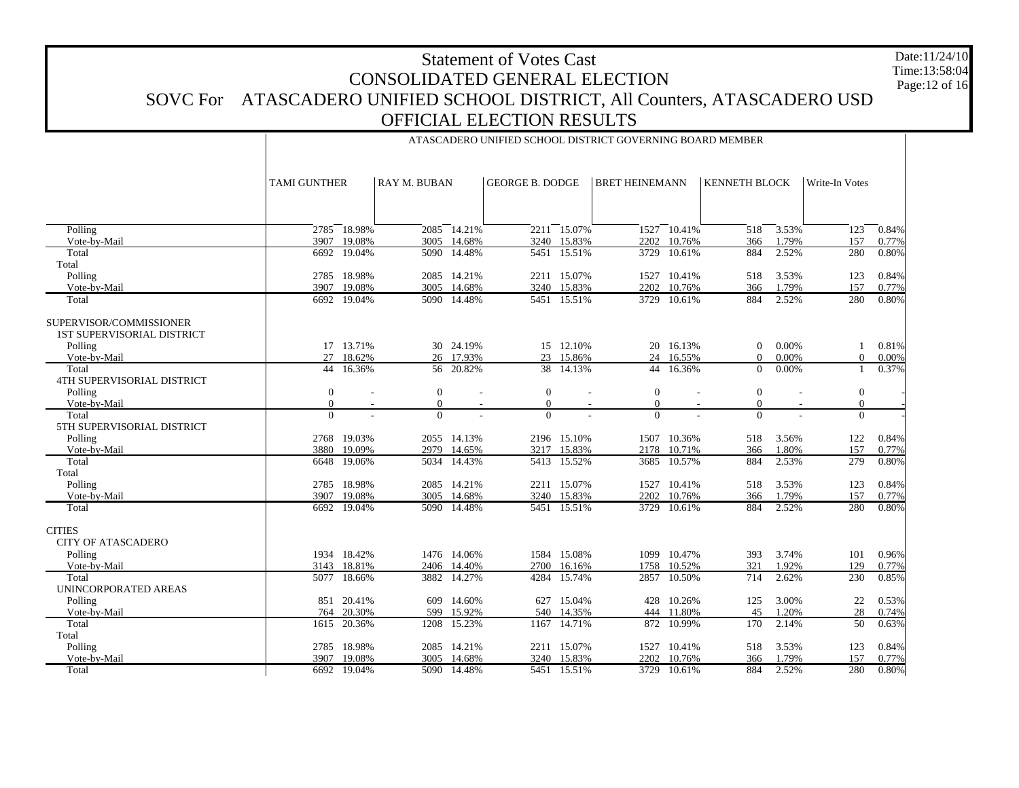# Statement of Votes CastCONSOLIDATED GENERAL ELECTIONSOVC For ATASCADERO UNIFIED SCHOOL DISTRICT, All Counters, ATASCADERO USD OFFICIAL ELECTION RESULTSDate:11/24/10 Time:13:58:04Page:12 of 16

 Polling Vote-by-Mail Total Total Polling Vote-by-Mail TotalSUPERVISOR/COMMISSIONER 1ST SUPERVISORIAL DISTRICT Polling Vote-by-Mail Total 4TH SUPERVISORIAL DISTRICT Polling Vote-by-Mail Total 5TH SUPERVISORIAL DISTRICT Polling Vote-by-Mail Total Total Polling Vote-by-Mail Total **CITIES**  CITY OF ATASCADERO Polling Vote-by-Mail Total UNINCORPORATED AREAS Polling Vote-by-Mail Total Total Polling Vote-by-Mail TotalTAMI GUNTHER RAY M. BUBANGEORGE B. DODGE | BRET HEINEMANN | KENNETH BLOCK | Write-In Votes 2785 18.98% 2085 14.21% 2211 15.07% 1527 10.41% 518 3.53% 123 0.84% 3907 19.08% 3005 14.68% 3240 15.83% 2202 10.76% 366 1.79% 157 0.77% 6692 19.04% 5090 14.48% 5451 15.51% 3729 10.61% 884 2.52% 280 0.80% 2785 18.98% 2085 14.21% 2211 15.07% 1527 10.41% 518 3.53% 123 0.84% 3907 19.08% 3005 14.68% 3240 15.83% 2202 10.76% 366 1.79% 157 0.77% 6692 19.04% 5090 14.48% 5451 15.51% 3729 10.61% 884 2.52% 280 0.80% 17 13.71% 30 24.19% 15 12.10% 20 16.13% 0 0.00% 1 0.81% 27 18.62% $\%$  26 17.93% 23 15.86% 24 16.55% 0 0.00% 0 0.00% 44 16.36% 56 20.82% 38 14.13% 44 16.36% 0 0.00% 1 0.37% 0 - 0 - 0 - 0 - 0 - 0 - 0 - 0 - 0 - 0 - 0 - 0 -  $\overline{0}$  - 0 - 0 - 0 - 0 - 0 - 2768 19.03% 2055 14.13% 2196 15.10% 1507 10.36% 518 3.56% 122 0.84% 3880 19.09% 2979 14.65% 3217 15.83% 2178 10.71% 366 1.80% 157 0.77% 6648 19.06% 5034 14.43% 5413 15.52% 3685 10.57% 884 2.53% 279 0.80% 2785 18.98% 2085 14.21% 2211 15.07% 1527 10.41% 518 3.53% 123 0.84% 3907 19.08% 3005 14.68% 3240 15.83% 2202 10.76% 366 1.79% 157 0.77% 6692 19.04% 5090 14.48% 5451 15.51% 3729 10.61% 884 2.52% 280 0.80% 1934 18.42% 1476 14.06% 1584 15.08% 1099 10.47% 393 3.74% 101 0.96% 3143 18.81% 2406 14.40% 2700 16.16% 1758 10.52% 321 1.92% 129 0.77% 5077 18.66% 3882 14.27% 4284 15.74% 2857 10.50% 714 2.62% 230 0.85% 851 20.41% 609 14.60% 627 15.04% 428 10.26% 125 3.00% 22 0.53% 764 20.30% 599 15.92% 540 14.35% 444 11.80% 45 1.20% 28 0.74% 1615 20.36% 1208 15.23% 1167 14.71% 872 10.99% 170 2.14% 50 0.63% 2785 18.98% 2085 14.21% 2211 15.07% 1527 10.41% 518 3.53% 123 0.84% 3907 19.08% 3005 14.68% 3240 15.83% 2202 10.76% 366 1.79% 157 0.77% 6692 19.04%5090 14.48% 5451 15.51% 3729 10.61% 884 2.52% 280 0.80%

# ATASCADERO UNIFIED SCHOOL DISTRICT GOVERNING BOARD MEMBER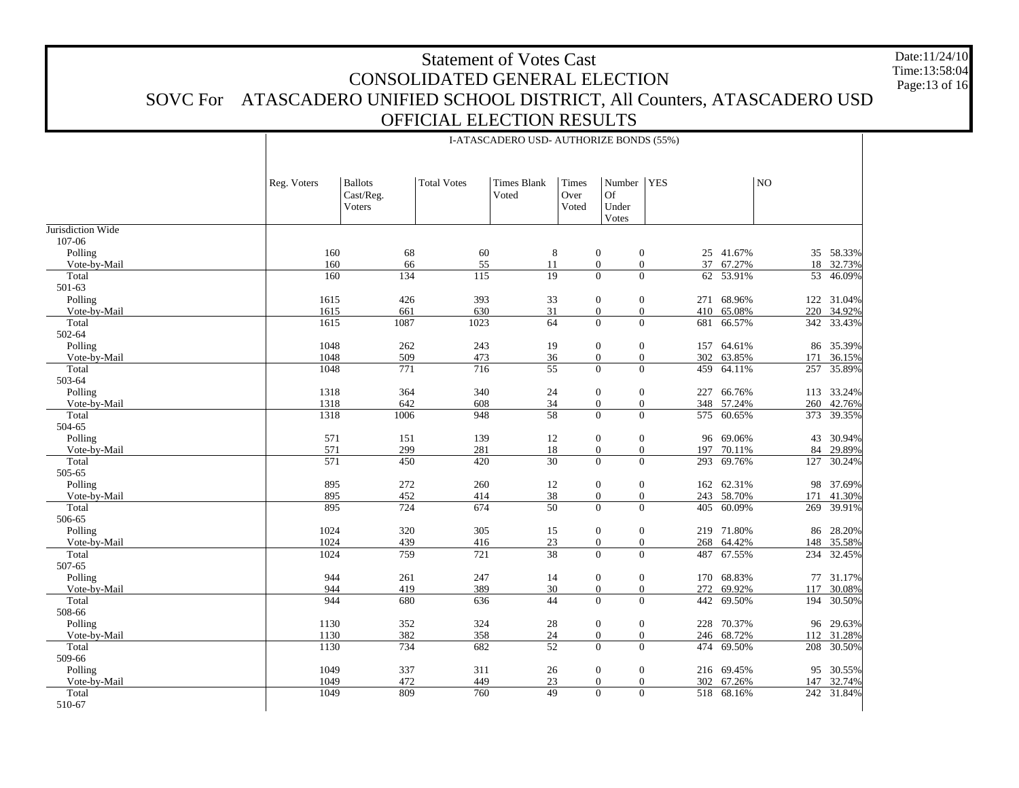# Statement of Votes CastCONSOLIDATED GENERAL ELECTIONSOVC For ATASCADERO UNIFIED SCHOOL DISTRICT, All Counters, ATASCADERO USD OFFICIAL ELECTION RESULTSDate:11/24/10Time:13:58:04Page:13 of 16

Jurisdiction Wide 107-06 Polling Vote-by-Mail Total 501-63 Polling Vote-by-Mail Total 502-64 Polling Vote-by-Mail Total 503-64 Polling Vote-by-Mail Total 504-65 Polling Vote-by-Mail Total 505-65 Polling Vote-by-Mail Total 506-65 Polling Vote-by-Mail Total 507-65 Polling Vote-by-Mail Total 508-66 Polling Vote-by-Mail Total 509-66 Polling Vote-by-Mail Total 510-67 Reg. Voters | Ballots Cast/Reg. Voters Total Votes Times Blank VotedTimes Over VotedNumber YESOf Under Votes NO16068 60 8 0 0 25 41.67% 35 58.33% 160 66 55 11 0 0 37 67.27% 18 32.73% 160134 115 19 0 0 62 53.91% 53 46.09% 1615426 393 33 0 271 68.96% 122 31.04% 1615 661 630 31 0 0 410 65.08% 220 34.92% 1615 1087 1023 64 0 0 681 66.57% 342 33.43% 1048262 243 19 0 0 157 64.61% 86 35.39% 1048 509 473 36 0 0 302 63.85% 171 36.15% 1048 771 716 55 0 0 459 64.11%64.11% 257 35.89% 1318 364 340 24 0 0 227 66.76% 113 33.24% 1318 642 608 34 0 0 348 57.24% 260 42.76% 13181006 948 58 0 0 575 60.65% 373 39.35% 571151 139 12 0 0 96 69.06% 43 30.94% 571 299 281 18 0 0 197 70.11% 84 29.89% 571 450 420 30 0 0 293 69.76% 127 30.24% 895 272 260 12 0 0 162 62.31% 98 37.69% 895 452 414 38 0 0 243 58.70% 171 41.30% 895 724 674 50 0 0 405 60.09% 269 39.91% 1024 320 305 15 0 0 219 71.80% 86 28.20% 1024 439 416 23 0 0 268 64.42% 148 35.58% 1024 759 721 38 0 0 487 67.55% 234 32.45% 944 261 247 14 0 0 170 68.83% 77 31.17% 944 419 389 30 0 0 272 69.92% 117 30.08% 944 680 636 44 0 0 442 69.50% 194 30.50% 1130 352 324 28 0 0 228 70.37% 96 29.63% 1130 382 358 24 0 0 246 68.72% 112 31.28% 1130 734 682 52 0 0 474 69.50% 208 30.50% 1049 337 311 26 0 0 216 69.45% 95 30.55% 1049 472 449 23 0 0 302 67.26% 147 32.74% 1049 809 760 49 0 0 518 68.16%242 31.84%

I-ATASCADERO USD- AUTHORIZE BONDS (55%)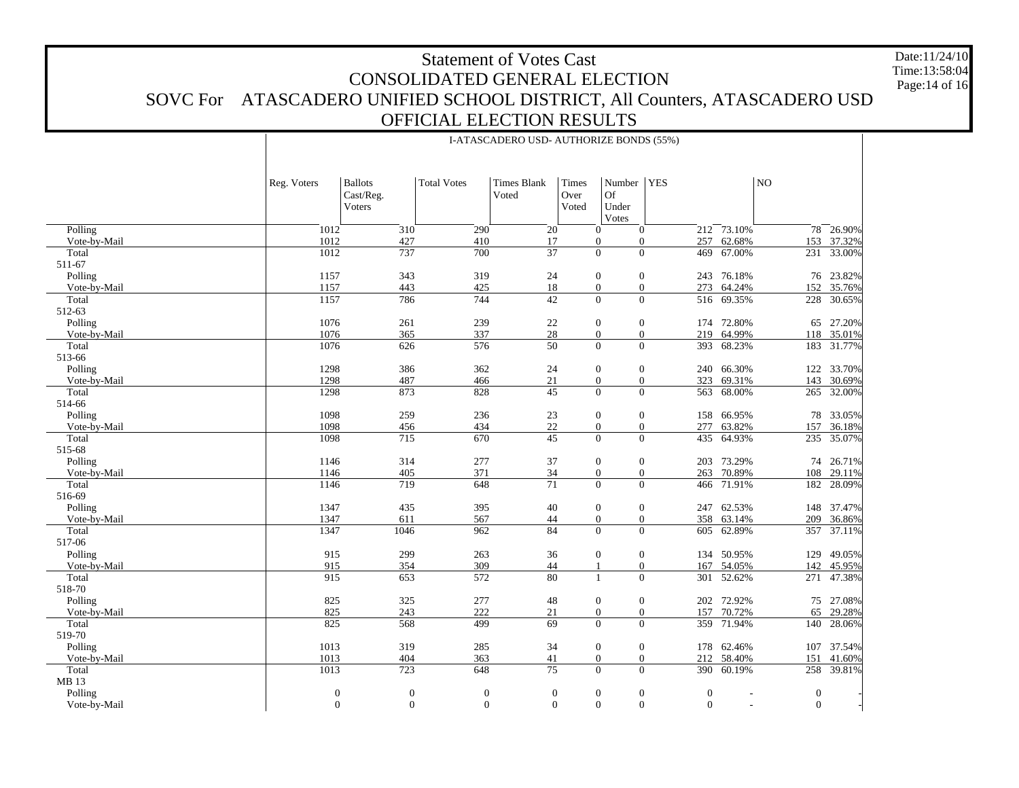# Statement of Votes CastCONSOLIDATED GENERAL ELECTIONSOVC For ATASCADERO UNIFIED SCHOOL DISTRICT, All Counters, ATASCADERO USD OFFICIAL ELECTION RESULTSDate:11/24/10Time:13:58:04Page:14 of 16

 Polling Vote-by-Mail Total 511-67 Polling Vote-by-Mail Total 512-63 Polling Vote-by-Mail Total 513-66 Polling Vote-by-Mail Total 514-66 Polling Vote-by-Mail Total 515-68 Polling Vote-by-Mail Total 516-69 Polling Vote-by-Mail Total 517-06 Polling Vote-by-Mail Total 518-70 Polling Vote-by-Mail Total 519-70 Polling Vote-by-Mail Total MB 13 Polling Vote-by-Mail Reg. Voters | Ballots Cast/Reg. Voters Total Votes Times Blank VotedTimes Over VotedNumber YESOf Under Votes NO1012 $\overline{310}$  290 20 0 0 212 73.10% 78 26.90% 1012 427 410 17 0 0 257 62.68% 153 37.32% 1012 737 700 37 0 0 469 67.00% 231 33.00% 1157 343 319 24 0 0 243 76.18% 76 23.82% 1157 443 425 18 0 0 273 64.24% 152 35.76% 1157 786 744 42 0 0 516 69.35% 228 30.65% 1076 261 239 22 0 0 174 72.80% 65 27.20% 1076 365 337 28 0 0 219 64.99%64.99% 118 35.01% 1076 626 576 50 0 0 393 68.23%68.23% 183 31.77% 1298 386 362 24 0 0 240 66.30% 122 33.70% 1298 487 466 21 0 0 323 69.31%69.31% 143 30.69% 1298 873 828 45 0 0 563 68.00% 265 32.00% 1098 259 236 23 0 0 158 66.95% 78 33.05% 1098 456 434 22 0 0 277 63.82%63.82% 157 36.18% 1098715 670 45 0 0 435 64.93% 235 35.07% 1146 314 277 37 0 0 203 73.29% 74 26.71% 1146 405 371 34 0 0 263 70.89% 108 29.11% 1146 719 648 71 0 0 466 71.91% 182 28.09% 1347435 395 40 0 0 247 62.53% 148 37.47% 1347 611 567 44 0 0 358 63.14% 209 36.86% 13471046 962 84 0 0 605 62.89% 357 37.11% 915 299 263 36 0 0 134 50.95% 129 49.05% 915 354 309 44 1 0 167 54.05%54.05% 142 45.95%<br>52.62% 271 47.38% 915 653 572 80 1 0 301 52.62% 271 47.38% 825 325 277 48 0 0 202 72.92% 75 27.08% 825 243 222 21 0 0 157 70.72% 65 29.28% 825 568 499 69 0 0 359 71.94% 140 28.06% 1013 319 285 34 0 0 178 62.46% 107 37.54% 1013 404 363 41 0 0 212 58.40% 151 41.60% 1013 723 648 75 0 0 390 60.19% 258 39.81% 0 0 0 0 0 0 0 - 0 - 00 0 0 0 0 0 - 0 -

I-ATASCADERO USD- AUTHORIZE BONDS (55%)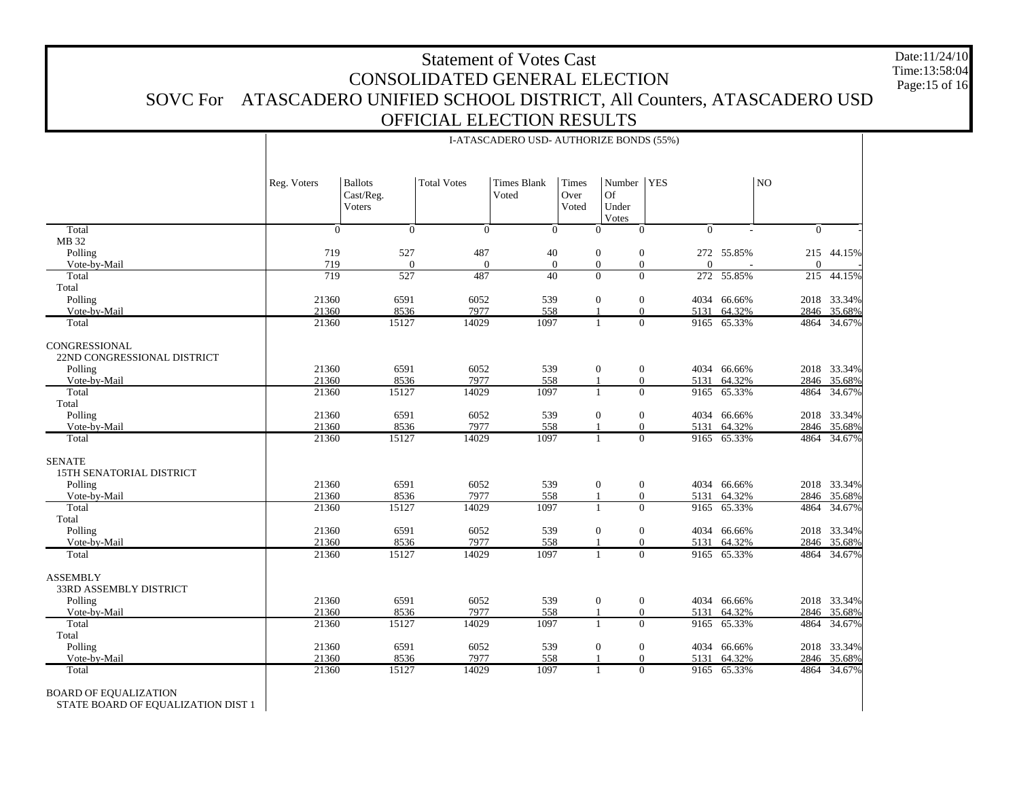# Statement of Votes CastCONSOLIDATED GENERAL ELECTIONSOVC For ATASCADERO UNIFIED SCHOOL DISTRICT, All Counters, ATASCADERO USD OFFICIAL ELECTION RESULTSDate:11/24/10Time:13:58:04Page:15 of 16

I-ATASCADERO USD- AUTHORIZE BONDS (55%)

 Total MB 32 Polling Vote-by-Mail Total Total Polling Vote-by-Mail Total**CONGRESSIONAL**  22ND CONGRESSIONAL DISTRICT Polling Vote-by-Mail Total Total Polling Vote-by-Mail TotalSENATE 15TH SENATORIAL DISTRICT Polling Vote-by-Mail Total Total Polling Vote-by-Mail TotalASSEMBLY 33RD ASSEMBLY DISTRICT Polling Vote-by-Mail Total Total Polling Vote-by-Mail TotalReg. Voters | Ballots Cast/Reg. VotersTotal Votes Times Blank VotedTimes Over VotedNumber YESOf Under Votes NO $\overline{0}$  0 0 0 0 0 0 - 0 - 719 527 487 40 0 0 272 55.85% 215 44.15% 719 0 0 0 0 0 0 - 0 - 719527 487 40 0 272 55.85% 215 44.15% 21360 6591 6052 539 0 0 4034 66.66% 2018 33.34% 21360 8536 7977 558 1 0 5131 64.32% 2846 35.68% 2136015127 14029 1097 1 0 9165 65.33% 4864 34.67% 21360 6591 6052 539 0 0 4034 66.66% 2018 33.34% 21360 8536 7977 558 1 0 5131 64.32% 2846 35.68% 2136015127 14029 1097 1 0 9165 65.33% 4864 34.67% 21360 6591 6052 539 0 0 4034 66.66% 2018 33.34% 21360 8536 7977 558 1 0 5131 64.32% 2846 35.68% 2136015127 14029 1097 1 0 9165 65.33% 4864 34.67% 21360 6591 6052 539 0 0 4034 66.66% 2018 33.34% 21360 8536 7977 558 1 0 5131 64.32% 2846 35.68% 2136015127 14029 1097 1 0 9165 65.33% 4864 34.67% 21360 6591 6052 539 0 0 4034 66.66% 2018 33.34% 21360 8536 7977 558 1 0 5131 64.32%64.32% 2846 35.68% 2136015127 14029 1097 1 0 9165 65.33% 4864 34.67% 21360 6591 6052 539 0 0 4034 66.66% 2018 33.34% 21360 8536 7977 558 1 0 5131 64.32% 2846 35.68% 2136015127 14029 1097 1 0 9165 65.33% 4864 34.67% 21360 6591 6052 539 0 0 4034 66.66% 2018 33.34% 21360 8536 7977 558 1 0 5131 64.32%64.32% 2846 35.68% 2136015127 14029 1097 1 0 9165 65.33% 4864 34.67%

BOARD OF EQUALIZATION

STATE BOARD OF EQUALIZATION DIST 1